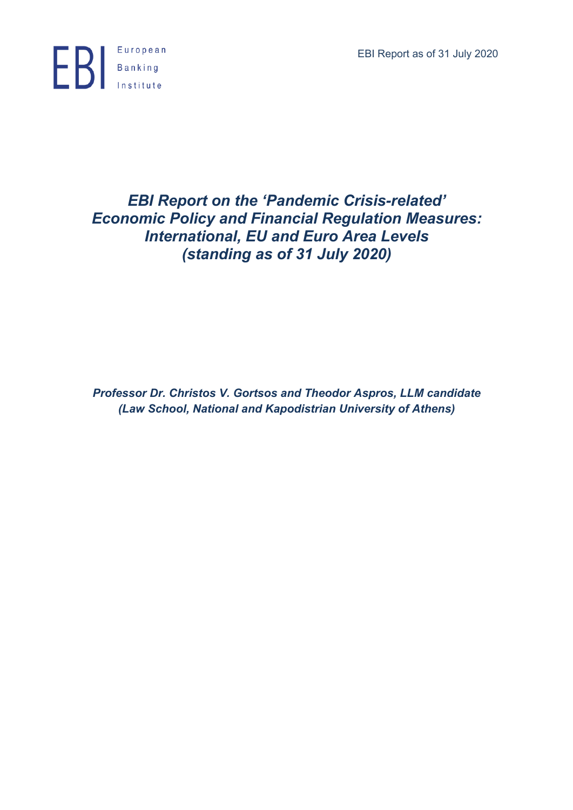EBI Report as of 31 July 2020



# *EBI Report on the 'Pandemic Crisis-related' Economic Policy and Financial Regulation Measures: International, EU and Euro Area Levels (standing as of 31 July 2020)*

*Professor Dr. Christos V. Gortsos and Theodor Aspros, LLM candidate (Law School, National and Kapodistrian University of Athens)*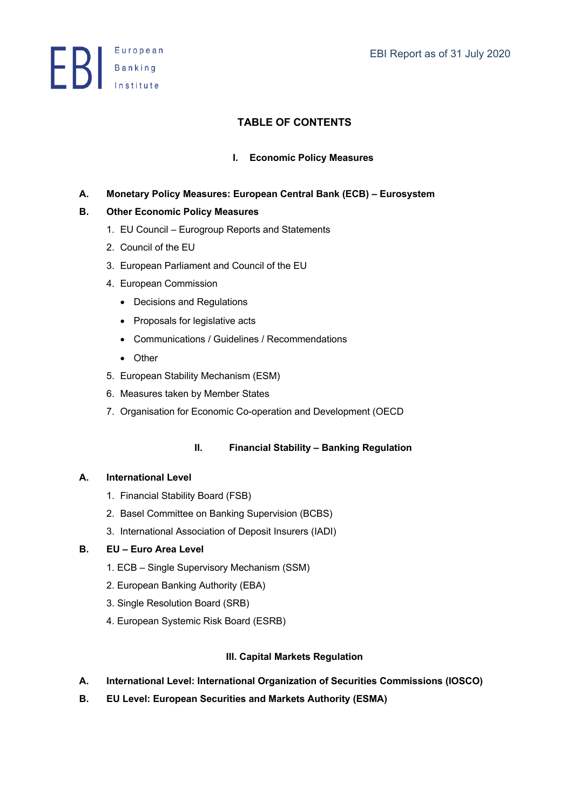**ED** Banking

# **TABLE OF CONTENTS**

# **I. Economic Policy Measures**

**A. Monetary Policy Measures: European Central Bank (ECB) – Eurosystem** 

# **B. Other Economic Policy Measures**

- 1. EU Council Eurogroup Reports and Statements
- 2. Council of the EU
- 3. European Parliament and Council of the EU
- 4. European Commission
	- Decisions and Regulations
	- Proposals for legislative acts
	- Communications / Guidelines / Recommendations
	- Other
- 5. European Stability Mechanism (ESM)
- 6. Measures taken by Member States
- 7. Organisation for Economic Co-operation and Development (OECD

# **II. Financial Stability – Banking Regulation**

# **A. International Level**

- 1. Financial Stability Board (FSB)
- 2. Basel Committee on Banking Supervision (BCBS)
- 3. International Association of Deposit Insurers (IADI)

# **B. EU – Euro Area Level**

- 1. ECB Single Supervisory Mechanism (SSM)
- 2. European Banking Authority (EBA)
- 3. Single Resolution Board (SRB)
- 4. European Systemic Risk Board (ESRB)

# **III. Capital Markets Regulation**

- **A. International Level: International Organization of Securities Commissions (IOSCO)**
- **B. EU Level: European Securities and Markets Authority (ESMA)**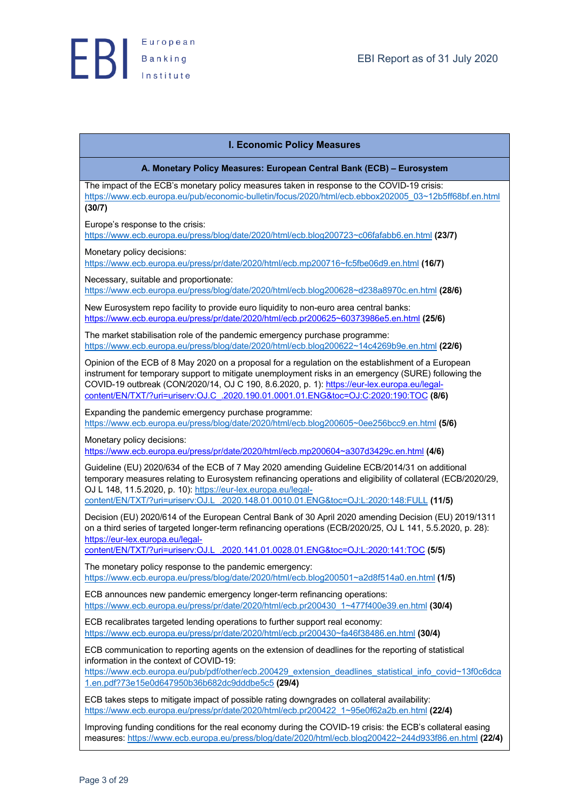## **I. Economic Policy Measures**

**A. Monetary Policy Measures: European Central Bank (ECB) – Eurosystem**

The impact of the ECB's monetary policy measures taken in response to the COVID-19 crisis: https://www.ecb.europa.eu/pub/economic-bulletin/focus/2020/html/ecb.ebbox202005\_03~12b5ff68bf.en.html **(30/7)**

Europe's response to the crisis:

https://www.ecb.europa.eu/press/blog/date/2020/html/ecb.blog200723~c06fafabb6.en.html **(23/7)**

Monetary policy decisions:

https://www.ecb.europa.eu/press/pr/date/2020/html/ecb.mp200716~fc5fbe06d9.en.html **(16/7)**

Necessary, suitable and proportionate: https://www.ecb.europa.eu/press/blog/date/2020/html/ecb.blog200628~d238a8970c.en.html **(28/6)**

New Eurosystem repo facility to provide euro liquidity to non-euro area central banks: https://www.ecb.europa.eu/press/pr/date/2020/html/ecb.pr200625~60373986e5.en.html **(25/6)**

The market stabilisation role of the pandemic emergency purchase programme: https://www.ecb.europa.eu/press/blog/date/2020/html/ecb.blog200622~14c4269b9e.en.html **(22/6)**

Opinion of the ECB of 8 May 2020 on a proposal for a regulation on the establishment of a European instrument for temporary support to mitigate unemployment risks in an emergency (SURE) following the COVID-19 outbreak (CON/2020/14, OJ C 190, 8.6.2020, p. 1): https://eur-lex.europa.eu/legalcontent/EN/TXT/?uri=uriserv:OJ.C\_.2020.190.01.0001.01.ENG&toc=OJ:C:2020:190:TOC **(8/6)**

Expanding the pandemic emergency purchase programme: https://www.ecb.europa.eu/press/blog/date/2020/html/ecb.blog200605~0ee256bcc9.en.html **(5/6)**

Monetary policy decisions:

https://www.ecb.europa.eu/press/pr/date/2020/html/ecb.mp200604~a307d3429c.en.html **(4/6)**

Guideline (EU) 2020/634 of the ECB of 7 May 2020 amending Guideline ECB/2014/31 on additional temporary measures relating to Eurosystem refinancing operations and eligibility of collateral (ECB/2020/29, OJ L 148, 11.5.2020, p. 10): https://eur-lex.europa.eu/legalcontent/EN/TXT/?uri=uriserv:OJ.L\_.2020.148.01.0010.01.ENG&toc=OJ:L:2020:148:FULL **(11/5)**

Decision (EU) 2020/614 of the European Central Bank of 30 April 2020 amending Decision (EU) 2019/1311 on a third series of targeted longer-term refinancing operations (ECB/2020/25, OJ L 141, 5.5.2020, p. 28): https://eur-lex.europa.eu/legal-

content/EN/TXT/?uri=uriserv:OJ.L\_.2020.141.01.0028.01.ENG&toc=OJ:L:2020:141:TOC **(5/5)**

The monetary policy response to the pandemic emergency: https://www.ecb.europa.eu/press/blog/date/2020/html/ecb.blog200501~a2d8f514a0.en.html **(1/5)**

ECB announces new pandemic emergency longer-term refinancing operations: https://www.ecb.europa.eu/press/pr/date/2020/html/ecb.pr200430\_1~477f400e39.en.html **(30/4)**

ECB recalibrates targeted lending operations to further support real economy: https://www.ecb.europa.eu/press/pr/date/2020/html/ecb.pr200430~fa46f38486.en.html **(30/4)**

ECB communication to reporting agents on the extension of deadlines for the reporting of statistical information in the context of COVID-19:

https://www.ecb.europa.eu/pub/pdf/other/ecb.200429\_extension\_deadlines\_statistical\_info\_covid~13f0c6dca 1.en.pdf?73e15e0d647950b36b682dc9dddbe5c5 **(29/4)**

ECB takes steps to mitigate impact of possible rating downgrades on collateral availability: https://www.ecb.europa.eu/press/pr/date/2020/html/ecb.pr200422\_1~95e0f62a2b.en.html **(22/4)**

Improving funding conditions for the real economy during the COVID-19 crisis: the ECB's collateral easing measures: https://www.ecb.europa.eu/press/blog/date/2020/html/ecb.blog200422~244d933f86.en.html **(22/4)**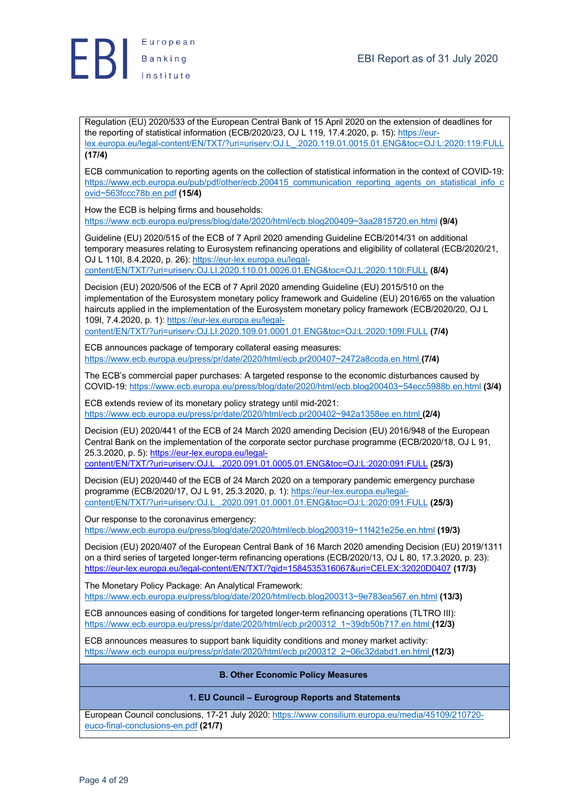

Regulation (EU) 2020/533 of the European Central Bank of 15 April 2020 on the extension of deadlines for the reporting of statistical information (ECB/2020/23, OJ L 119, 17.4.2020, p. 15): https://eurlex.europa.eu/legal-content/EN/TXT/?uri=uriserv:OJ.L\_.2020.119.01.0015.01.ENG&toc=OJ:L:2020:119:FULL **(17/4)**

ECB communication to reporting agents on the collection of statistical information in the context of COVID-19: https://www.ecb.europa.eu/pub/pdf/other/ecb.200415\_communication\_reporting\_agents\_on\_statistical\_info\_c ovid~563fccc78b.en.pdf **(15/4)**

How the ECB is helping firms and households: https://www.ecb.europa.eu/press/blog/date/2020/html/ecb.blog200409~3aa2815720.en.html **(9/4)**

Guideline (EU) 2020/515 of the ECB of 7 April 2020 amending Guideline ECB/2014/31 on additional temporary measures relating to Eurosystem refinancing operations and eligibility of collateral (ECB/2020/21, OJ L 110I, 8.4.2020, p. 26): https://eur-lex.europa.eu/legal-

content/EN/TXT/?uri=uriserv:OJ.LI.2020.110.01.0026.01.ENG&toc=OJ:L:2020:110I:FULL **(8/4)**

Decision (EU) 2020/506 of the ECB of 7 April 2020 amending Guideline (EU) 2015/510 on the implementation of the Eurosystem monetary policy framework and Guideline (EU) 2016/65 on the valuation haircuts applied in the implementation of the Eurosystem monetary policy framework (ECB/2020/20, OJ L 109I, 7.4.2020, p. 1): https://eur-lex.europa.eu/legal-

content/EN/TXT/?uri=uriserv:OJ.LI.2020.109.01.0001.01.ENG&toc=OJ:L:2020:109I:FULL **(7/4)**

ECB announces package of temporary collateral easing measures: https://www.ecb.europa.eu/press/pr/date/2020/html/ecb.pr200407~2472a8ccda.en.html **(7/4)**

The ECB's commercial paper purchases: A targeted response to the economic disturbances caused by COVID-19: https://www.ecb.europa.eu/press/blog/date/2020/html/ecb.blog200403~54ecc5988b.en.html **(3/4)**

ECB extends review of its monetary policy strategy until mid-2021: https://www.ecb.europa.eu/press/pr/date/2020/html/ecb.pr200402~942a1358ee.en.html **(2/4)**

Decision (EU) 2020/441 of the ECB of 24 March 2020 amending Decision (EU) 2016/948 of the European Central Bank on the implementation of the corporate sector purchase programme (ECB/2020/18, OJ L 91, 25.3.2020, p. 5): https://eur-lex.europa.eu/legal-

content/EN/TXT/?uri=uriserv:OJ.L\_.2020.091.01.0005.01.ENG&toc=OJ:L:2020:091:FULL **(25/3)**

Decision (EU) 2020/440 of the ECB of 24 March 2020 on a temporary pandemic emergency purchase programme (ECB/2020/17, OJ L 91, 25.3.2020, p. 1): https://eur-lex.europa.eu/legalcontent/EN/TXT/?uri=uriserv:OJ.L\_.2020.091.01.0001.01.ENG&toc=OJ:L:2020:091:FULL **(25/3)**

Our response to the coronavirus emergency:

https://www.ecb.europa.eu/press/blog/date/2020/html/ecb.blog200319~11f421e25e.en.html **(19/3)**

Decision (EU) 2020/407 of the European Central Bank of 16 March 2020 amending Decision (EU) 2019/1311 on a third series of targeted longer-term refinancing operations (ECB/2020/13, OJ L 80, 17.3.2020, p. 23): https://eur-lex.europa.eu/legal-content/EN/TXT/?qid=1584535316067&uri=CELEX:32020D0407 **(17/3)**

The Monetary Policy Package: An Analytical Framework: https://www.ecb.europa.eu/press/blog/date/2020/html/ecb.blog200313~9e783ea567.en.html **(13/3)**

ECB announces easing of conditions for targeted longer-term refinancing operations (TLTRO III): https://www.ecb.europa.eu/press/pr/date/2020/html/ecb.pr200312\_1~39db50b717.en.html **(12/3)**

ECB announces measures to support bank liquidity conditions and money market activity: https://www.ecb.europa.eu/press/pr/date/2020/html/ecb.pr200312\_2~06c32dabd1.en.html **(12/3)**

## **B. Other Economic Policy Measures**

## **1. EU Council – Eurogroup Reports and Statements**

European Council conclusions, 17-21 July 2020: https://www.consilium.europa.eu/media/45109/210720 euco-final-conclusions-en.pdf **(21/7)**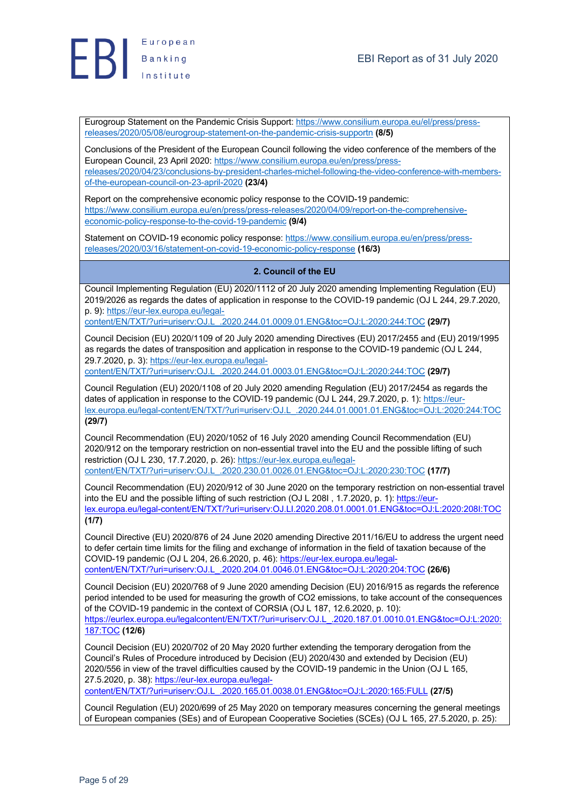

Eurogroup Statement on the Pandemic Crisis Support: https://www.consilium.europa.eu/el/press/pressreleases/2020/05/08/eurogroup-statement-on-the-pandemic-crisis-supportn **(8/5)**

Conclusions of the President of the European Council following the video conference of the members of the European Council, 23 April 2020: https://www.consilium.europa.eu/en/press/pressreleases/2020/04/23/conclusions-by-president-charles-michel-following-the-video-conference-with-membersof-the-european-council-on-23-april-2020 **(23/4)**

Report on the comprehensive economic policy response to the COVID-19 pandemic: https://www.consilium.europa.eu/en/press/press-releases/2020/04/09/report-on-the-comprehensiveeconomic-policy-response-to-the-covid-19-pandemic **(9/4)**

Statement on COVID-19 economic policy response: https://www.consilium.europa.eu/en/press/pressreleases/2020/03/16/statement-on-covid-19-economic-policy-response **(16/3)**

# **2. Council of the EU**

Council Implementing Regulation (EU) 2020/1112 of 20 July 2020 amending Implementing Regulation (EU) 2019/2026 as regards the dates of application in response to the COVID-19 pandemic (OJ L 244, 29.7.2020, p. 9): https://eur-lex.europa.eu/legal-

content/EN/TXT/?uri=uriserv:OJ.L\_.2020.244.01.0009.01.ENG&toc=OJ:L:2020:244:TOC **(29/7)**

Council Decision (EU) 2020/1109 of 20 July 2020 amending Directives (EU) 2017/2455 and (EU) 2019/1995 as regards the dates of transposition and application in response to the COVID-19 pandemic (OJ L 244, 29.7.2020, p. 3): https://eur-lex.europa.eu/legal-

content/EN/TXT/?uri=uriserv:OJ.L\_.2020.244.01.0003.01.ENG&toc=OJ:L:2020:244:TOC **(29/7)**

Council Regulation (EU) 2020/1108 of 20 July 2020 amending Regulation (EU) 2017/2454 as regards the dates of application in response to the COVID-19 pandemic (OJ L 244, 29.7.2020, p. 1): https://eurlex.europa.eu/legal-content/EN/TXT/?uri=uriserv:OJ.L\_.2020.244.01.0001.01.ENG&toc=OJ:L:2020:244:TOC **(29/7)**

Council Recommendation (EU) 2020/1052 of 16 July 2020 amending Council Recommendation (EU) 2020/912 on the temporary restriction on non-essential travel into the EU and the possible lifting of such restriction (OJ L 230, 17.7.2020, p. 26): https://eur-lex.europa.eu/legalcontent/EN/TXT/?uri=uriserv:OJ.L\_.2020.230.01.0026.01.ENG&toc=OJ:L:2020:230:TOC **(17/7)**

Council Recommendation (EU) 2020/912 of 30 June 2020 on the temporary restriction on non-essential travel into the EU and the possible lifting of such restriction (OJ L 208I, 1.7.2020, p. 1): https://eurlex.europa.eu/legal-content/EN/TXT/?uri=uriserv:OJ.LI.2020.208.01.0001.01.ENG&toc=OJ:L:2020:208I:TOC **(1/7)**

Council Directive (EU) 2020/876 of 24 June 2020 amending Directive 2011/16/EU to address the urgent need to defer certain time limits for the filing and exchange of information in the field of taxation because of the COVID-19 pandemic (OJ L 204, 26.6.2020, p. 46): https://eur-lex.europa.eu/legalcontent/EN/TXT/?uri=uriserv:OJ.L\_.2020.204.01.0046.01.ENG&toc=OJ:L:2020:204:TOC **(26/6)**

Council Decision (EU) 2020/768 of 9 June 2020 amending Decision (EU) 2016/915 as regards the reference period intended to be used for measuring the growth of CO2 emissions, to take account of the consequences of the COVID-19 pandemic in the context of CORSIA (OJ L 187, 12.6.2020, p. 10): https://eurlex.europa.eu/legalcontent/EN/TXT/?uri=uriserv:OJ.L\_.2020.187.01.0010.01.ENG&toc=OJ:L:2020: 187:TOC **(12/6)**

Council Decision (EU) 2020/702 of 20 May 2020 further extending the temporary derogation from the Council's Rules of Procedure introduced by Decision (EU) 2020/430 and extended by Decision (EU) 2020/556 in view of the travel difficulties caused by the COVID-19 pandemic in the Union (OJ L 165, 27.5.2020, p. 38): https://eur-lex.europa.eu/legal-

content/EN/TXT/?uri=uriserv:OJ.L\_.2020.165.01.0038.01.ENG&toc=OJ:L:2020:165:FULL **(27/5)**

Council Regulation (EU) 2020/699 of 25 May 2020 on temporary measures concerning the general meetings of European companies (SEs) and of European Cooperative Societies (SCEs) (OJ L 165, 27.5.2020, p. 25):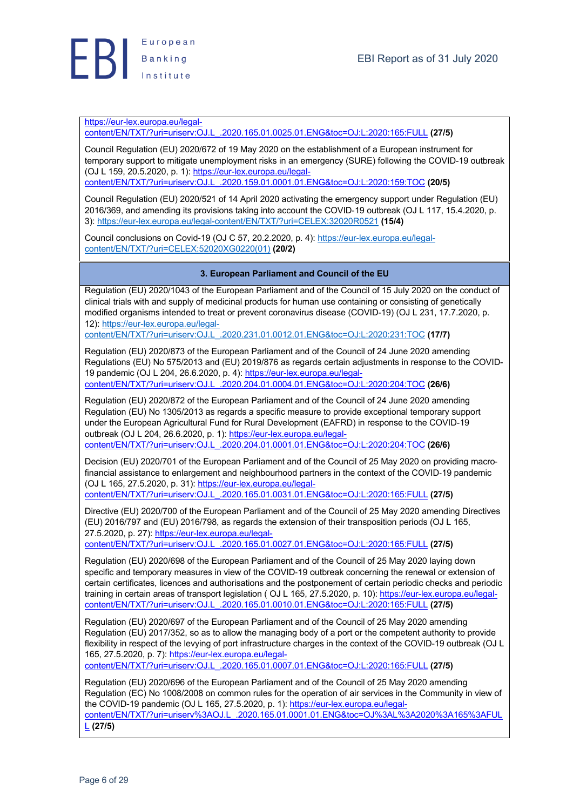

https://eur-lex.europa.eu/legal-

content/EN/TXT/?uri=uriserv:OJ.L\_.2020.165.01.0025.01.ENG&toc=OJ:L:2020:165:FULL **(27/5)**

Council Regulation (EU) 2020/672 of 19 May 2020 on the establishment of a European instrument for temporary support to mitigate unemployment risks in an emergency (SURE) following the COVID-19 outbreak (OJ L 159, 20.5.2020, p. 1): https://eur-lex.europa.eu/legalcontent/EN/TXT/?uri=uriserv:OJ.L\_.2020.159.01.0001.01.ENG&toc=OJ:L:2020:159:TOC **(20/5)**

Council Regulation (EU) 2020/521 of 14 April 2020 activating the emergency support under Regulation (EU) 2016/369, and amending its provisions taking into account the COVID-19 outbreak (OJ L 117, 15.4.2020, p. 3): https://eur-lex.europa.eu/legal-content/EN/TXT/?uri=CELEX:32020R0521 **(15/4)**

Council conclusions on Covid-19 (OJ C 57, 20.2.2020, p. 4): https://eur-lex.europa.eu/legalcontent/EN/TXT/?uri=CELEX:52020XG0220(01) **(20/2)**

## **3. European Parliament and Council of the EU**

Regulation (EU) 2020/1043 of the European Parliament and of the Council of 15 July 2020 on the conduct of clinical trials with and supply of medicinal products for human use containing or consisting of genetically modified organisms intended to treat or prevent coronavirus disease (COVID-19) (OJ L 231, 17.7.2020, p. 12): https://eur-lex.europa.eu/legal-

content/EN/TXT/?uri=uriserv:OJ.L\_.2020.231.01.0012.01.ENG&toc=OJ:L:2020:231:TOC **(17/7)**

Regulation (EU) 2020/873 of the European Parliament and of the Council of 24 June 2020 amending Regulations (EU) No 575/2013 and (EU) 2019/876 as regards certain adjustments in response to the COVID-19 pandemic (OJ L 204, 26.6.2020, p. 4): https://eur-lex.europa.eu/legalcontent/EN/TXT/?uri=uriserv:OJ.L\_.2020.204.01.0004.01.ENG&toc=OJ:L:2020:204:TOC **(26/6)**

Regulation (EU) 2020/872 of the European Parliament and of the Council of 24 June 2020 amending Regulation (EU) No 1305/2013 as regards a specific measure to provide exceptional temporary support under the European Agricultural Fund for Rural Development (EAFRD) in response to the COVID-19 outbreak (OJ L 204, 26.6.2020, p. 1): https://eur-lex.europa.eu/legalcontent/EN/TXT/?uri=uriserv:OJ.L\_.2020.204.01.0001.01.ENG&toc=OJ:L:2020:204:TOC **(26/6)**

Decision (EU) 2020/701 of the European Parliament and of the Council of 25 May 2020 on providing macrofinancial assistance to enlargement and neighbourhood partners in the context of the COVID-19 pandemic (OJ L 165, 27.5.2020, p. 31): https://eur-lex.europa.eu/legalcontent/EN/TXT/?uri=uriserv:OJ.L\_.2020.165.01.0031.01.ENG&toc=OJ:L:2020:165:FULL **(27/5)**

Directive (EU) 2020/700 of the European Parliament and of the Council of 25 May 2020 amending Directives (EU) 2016/797 and (EU) 2016/798, as regards the extension of their transposition periods (OJ L 165, 27.5.2020, p. 27): https://eur-lex.europa.eu/legal-

content/EN/TXT/?uri=uriserv:OJ.L\_.2020.165.01.0027.01.ENG&toc=OJ:L:2020:165:FULL **(27/5)**

Regulation (EU) 2020/698 of the European Parliament and of the Council of 25 May 2020 laying down specific and temporary measures in view of the COVID-19 outbreak concerning the renewal or extension of certain certificates, licences and authorisations and the postponement of certain periodic checks and periodic training in certain areas of transport legislation ( OJ L 165, 27.5.2020, p. 10): https://eur-lex.europa.eu/legalcontent/EN/TXT/?uri=uriserv:OJ.L\_.2020.165.01.0010.01.ENG&toc=OJ:L:2020:165:FULL **(27/5)**

Regulation (EU) 2020/697 of the European Parliament and of the Council of 25 May 2020 amending Regulation (EU) 2017/352, so as to allow the managing body of a port or the competent authority to provide flexibility in respect of the levying of port infrastructure charges in the context of the COVID-19 outbreak (OJ L 165, 27.5.2020, p. 7): https://eur-lex.europa.eu/legal-

content/EN/TXT/?uri=uriserv:OJ.L\_.2020.165.01.0007.01.ENG&toc=OJ:L:2020:165:FULL **(27/5)**

Regulation (EU) 2020/696 of the European Parliament and of the Council of 25 May 2020 amending Regulation (EC) No 1008/2008 on common rules for the operation of air services in the Community in view of the COVID-19 pandemic (OJ L 165, 27.5.2020, p. 1): https://eur-lex.europa.eu/legalcontent/EN/TXT/?uri=uriserv%3AOJ.L\_.2020.165.01.0001.01.ENG&toc=OJ%3AL%3A2020%3A165%3AFUL L **(27/5)**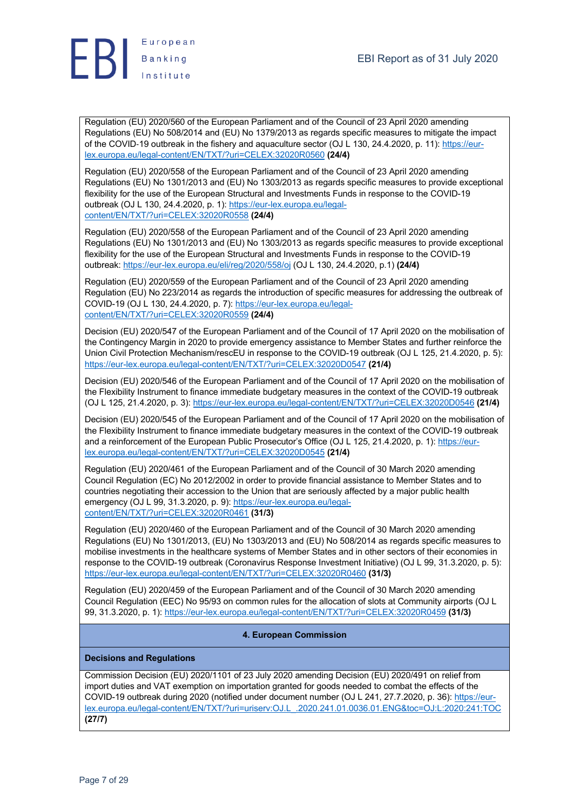

Regulation (EU) 2020/560 of the European Parliament and of the Council of 23 April 2020 amending Regulations (EU) No 508/2014 and (EU) No 1379/2013 as regards specific measures to mitigate the impact of the COVID-19 outbreak in the fishery and aquaculture sector (OJ L 130, 24.4.2020, p. 11): https://eurlex.europa.eu/legal-content/EN/TXT/?uri=CELEX:32020R0560 **(24/4)**

Regulation (EU) 2020/558 of the European Parliament and of the Council of 23 April 2020 amending Regulations (EU) No 1301/2013 and (EU) No 1303/2013 as regards specific measures to provide exceptional flexibility for the use of the European Structural and Investments Funds in response to the COVID-19 outbreak (OJ L 130, 24.4.2020, p. 1): https://eur-lex.europa.eu/legalcontent/EN/TXT/?uri=CELEX:32020R0558 **(24/4)**

Regulation (EU) 2020/558 of the European Parliament and of the Council of 23 April 2020 amending Regulations (EU) No 1301/2013 and (EU) No 1303/2013 as regards specific measures to provide exceptional flexibility for the use of the European Structural and Investments Funds in response to the COVID-19 outbreak: https://eur-lex.europa.eu/eli/reg/2020/558/oj (OJ L 130, 24.4.2020, p.1) **(24/4)**

Regulation (EU) 2020/559 of the European Parliament and of the Council of 23 April 2020 amending Regulation (EU) No 223/2014 as regards the introduction of specific measures for addressing the outbreak of COVID-19 (OJ L 130, 24.4.2020, p. 7): https://eur-lex.europa.eu/legalcontent/EN/TXT/?uri=CELEX:32020R0559 **(24/4)**

Decision (EU) 2020/547 of the European Parliament and of the Council of 17 April 2020 on the mobilisation of the Contingency Margin in 2020 to provide emergency assistance to Member States and further reinforce the Union Civil Protection Mechanism/rescEU in response to the COVID-19 outbreak (OJ L 125, 21.4.2020, p. 5): https://eur-lex.europa.eu/legal-content/EN/TXT/?uri=CELEX:32020D0547 **(21/4)**

Decision (EU) 2020/546 of the European Parliament and of the Council of 17 April 2020 on the mobilisation of the Flexibility Instrument to finance immediate budgetary measures in the context of the COVID-19 outbreak (OJ L 125, 21.4.2020, p. 3): https://eur-lex.europa.eu/legal-content/EN/TXT/?uri=CELEX:32020D0546 **(21/4)**

Decision (EU) 2020/545 of the European Parliament and of the Council of 17 April 2020 on the mobilisation of the Flexibility Instrument to finance immediate budgetary measures in the context of the COVID-19 outbreak and a reinforcement of the European Public Prosecutor's Office (OJ L 125, 21.4.2020, p. 1): https://eurlex.europa.eu/legal-content/EN/TXT/?uri=CELEX:32020D0545 **(21/4)**

Regulation (EU) 2020/461 of the European Parliament and of the Council of 30 March 2020 amending Council Regulation (EC) No 2012/2002 in order to provide financial assistance to Member States and to countries negotiating their accession to the Union that are seriously affected by a major public health emergency (OJ L 99, 31.3.2020, p. 9): https://eur-lex.europa.eu/legalcontent/EN/TXT/?uri=CELEX:32020R0461 **(31/3)**

Regulation (EU) 2020/460 of the European Parliament and of the Council of 30 March 2020 amending Regulations (EU) No 1301/2013, (EU) No 1303/2013 and (EU) No 508/2014 as regards specific measures to mobilise investments in the healthcare systems of Member States and in other sectors of their economies in response to the COVID-19 outbreak (Coronavirus Response Investment Initiative) (OJ L 99, 31.3.2020, p. 5): https://eur-lex.europa.eu/legal-content/EN/TXT/?uri=CELEX:32020R0460 **(31/3)**

Regulation (EU) 2020/459 of the European Parliament and of the Council of 30 March 2020 amending Council Regulation (EEC) No 95/93 on common rules for the allocation of slots at Community airports (OJ L 99, 31.3.2020, p. 1): https://eur-lex.europa.eu/legal-content/EN/TXT/?uri=CELEX:32020R0459 **(31/3)**

## **4. European Commission**

## **Decisions and Regulations**

Commission Decision (EU) 2020/1101 of 23 July 2020 amending Decision (EU) 2020/491 on relief from import duties and VAT exemption on importation granted for goods needed to combat the effects of the COVID-19 outbreak during 2020 (notified under document number (OJ L 241, 27.7.2020, p. 36): https://eurlex.europa.eu/legal-content/EN/TXT/?uri=uriserv:OJ.L\_.2020.241.01.0036.01.ENG&toc=OJ:L:2020:241:TOC **(27/7)**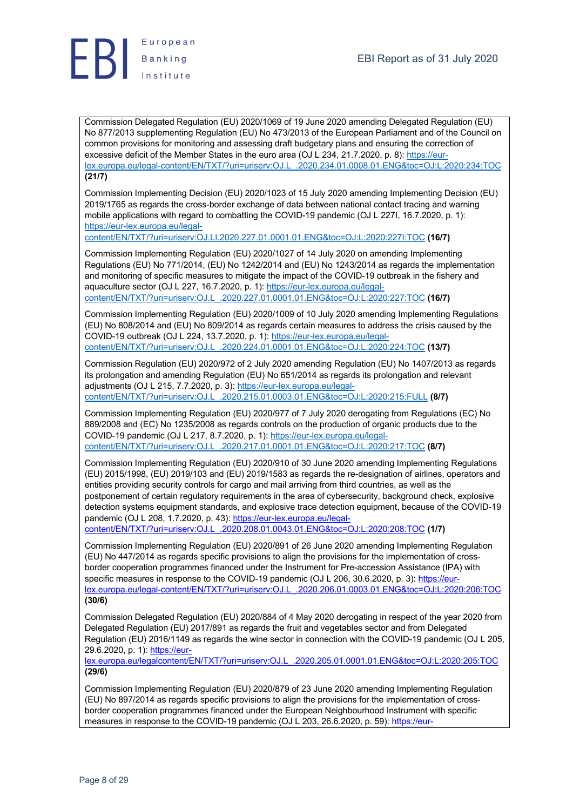

Commission Delegated Regulation (EU) 2020/1069 of 19 June 2020 amending Delegated Regulation (EU) No 877/2013 supplementing Regulation (EU) No 473/2013 of the European Parliament and of the Council on common provisions for monitoring and assessing draft budgetary plans and ensuring the correction of excessive deficit of the Member States in the euro area (OJ L 234, 21.7.2020, p. 8): https://eurlex.europa.eu/legal-content/EN/TXT/?uri=uriserv:OJ.L\_.2020.234.01.0008.01.ENG&toc=OJ:L:2020:234:TOC **(21/7)**

Commission Implementing Decision (EU) 2020/1023 of 15 July 2020 amending Implementing Decision (EU) 2019/1765 as regards the cross-border exchange of data between national contact tracing and warning mobile applications with regard to combatting the COVID-19 pandemic (OJ L 227I, 16.7.2020, p. 1): https://eur-lex.europa.eu/legal-

content/EN/TXT/?uri=uriserv:OJ.LI.2020.227.01.0001.01.ENG&toc=OJ:L:2020:227I:TOC **(16/7)**

Commission Implementing Regulation (EU) 2020/1027 of 14 July 2020 on amending Implementing Regulations (EU) No 771/2014, (EU) No 1242/2014 and (EU) No 1243/2014 as regards the implementation and monitoring of specific measures to mitigate the impact of the COVID-19 outbreak in the fishery and aquaculture sector (OJ L 227, 16.7.2020, p. 1): https://eur-lex.europa.eu/legalcontent/EN/TXT/?uri=uriserv:OJ.L\_.2020.227.01.0001.01.ENG&toc=OJ:L:2020:227:TOC **(16/7)**

Commission Implementing Regulation (EU) 2020/1009 of 10 July 2020 amending Implementing Regulations (EU) No 808/2014 and (EU) No 809/2014 as regards certain measures to address the crisis caused by the COVID-19 outbreak (OJ L 224, 13.7.2020, p. 1): https://eur-lex.europa.eu/legalcontent/EN/TXT/?uri=uriserv:OJ.L\_.2020.224.01.0001.01.ENG&toc=OJ:L:2020:224:TOC **(13/7)**

Commission Regulation (EU) 2020/972 of 2 July 2020 amending Regulation (EU) No 1407/2013 as regards its prolongation and amending Regulation (EU) No 651/2014 as regards its prolongation and relevant adjustments (OJ L 215, 7.7.2020, p. 3): https://eur-lex.europa.eu/legalcontent/EN/TXT/?uri=uriserv:OJ.L\_.2020.215.01.0003.01.ENG&toc=OJ:L:2020:215:FULL **(8/7)**

Commission Implementing Regulation (EU) 2020/977 of 7 July 2020 derogating from Regulations (EC) No 889/2008 and (EC) No 1235/2008 as regards controls on the production of organic products due to the COVID-19 pandemic (OJ L 217, 8.7.2020, p. 1): https://eur-lex.europa.eu/legalcontent/EN/TXT/?uri=uriserv:OJ.L\_.2020.217.01.0001.01.ENG&toc=OJ:L:2020:217:TOC **(8/7)**

Commission Implementing Regulation (EU) 2020/910 of 30 June 2020 amending Implementing Regulations (EU) 2015/1998, (EU) 2019/103 and (EU) 2019/1583 as regards the re-designation of airlines, operators and entities providing security controls for cargo and mail arriving from third countries, as well as the postponement of certain regulatory requirements in the area of cybersecurity, background check, explosive detection systems equipment standards, and explosive trace detection equipment, because of the COVID-19 pandemic (OJ L 208, 1.7.2020, p. 43): https://eur-lex.europa.eu/legal-

content/EN/TXT/?uri=uriserv:OJ.L\_.2020.208.01.0043.01.ENG&toc=OJ:L:2020:208:TOC **(1/7)**

Commission Implementing Regulation (EU) 2020/891 of 26 June 2020 amending Implementing Regulation (EU) No 447/2014 as regards specific provisions to align the provisions for the implementation of crossborder cooperation programmes financed under the Instrument for Pre-accession Assistance (IPA) with specific measures in response to the COVID-19 pandemic (OJ L 206, 30.6.2020, p. 3): https://eurlex.europa.eu/legal-content/EN/TXT/?uri=uriserv:OJ.L\_.2020.206.01.0003.01.ENG&toc=OJ:L:2020:206:TOC **(30/6)**

Commission Delegated Regulation (EU) 2020/884 of 4 May 2020 derogating in respect of the year 2020 from Delegated Regulation (EU) 2017/891 as regards the fruit and vegetables sector and from Delegated Regulation (EU) 2016/1149 as regards the wine sector in connection with the COVID-19 pandemic (OJ L 205, 29.6.2020, p. 1): https://eur-

lex.europa.eu/legalcontent/EN/TXT/?uri=uriserv:OJ.L\_.2020.205.01.0001.01.ENG&toc=OJ:L:2020:205:TOC **(29/6)**

Commission Implementing Regulation (EU) 2020/879 of 23 June 2020 amending Implementing Regulation (EU) No 897/2014 as regards specific provisions to align the provisions for the implementation of crossborder cooperation programmes financed under the European Neighbourhood Instrument with specific measures in response to the COVID-19 pandemic (OJ L 203, 26.6.2020, p. 59): https://eur-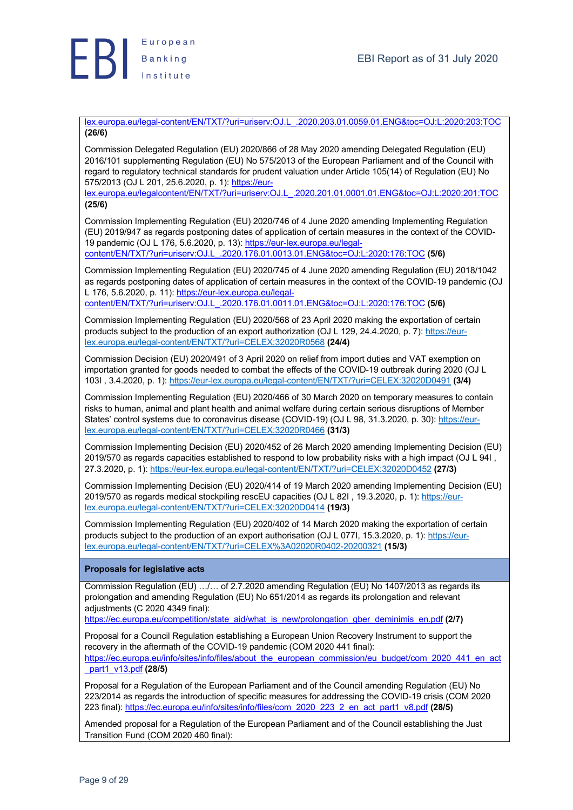

lex.europa.eu/legal-content/EN/TXT/?uri=uriserv:OJ.L\_.2020.203.01.0059.01.ENG&toc=OJ:L:2020:203:TOC **(26/6)**

Commission Delegated Regulation (EU) 2020/866 of 28 May 2020 amending Delegated Regulation (EU) 2016/101 supplementing Regulation (EU) No 575/2013 of the European Parliament and of the Council with regard to regulatory technical standards for prudent valuation under Article 105(14) of Regulation (EU) No 575/2013 (OJ L 201, 25.6.2020, p. 1): https://eur-

lex.europa.eu/legalcontent/EN/TXT/?uri=uriserv:OJ.L\_.2020.201.01.0001.01.ENG&toc=OJ:L:2020:201:TOC **(25/6)**

Commission Implementing Regulation (EU) 2020/746 of 4 June 2020 amending Implementing Regulation (EU) 2019/947 as regards postponing dates of application of certain measures in the context of the COVID-19 pandemic (OJ L 176, 5.6.2020, p. 13): https://eur-lex.europa.eu/legalcontent/EN/TXT/?uri=uriserv:OJ.L\_.2020.176.01.0013.01.ENG&toc=OJ:L:2020:176:TOC **(5/6)**

Commission Implementing Regulation (EU) 2020/745 of 4 June 2020 amending Regulation (EU) 2018/1042 as regards postponing dates of application of certain measures in the context of the COVID-19 pandemic (OJ L 176, 5.6.2020, p. 11): https://eur-lex.europa.eu/legal-

content/EN/TXT/?uri=uriserv:OJ.L\_.2020.176.01.0011.01.ENG&toc=OJ:L:2020:176:TOC **(5/6)**

Commission Implementing Regulation (EU) 2020/568 of 23 April 2020 making the exportation of certain products subject to the production of an export authorization (OJ L 129, 24.4.2020, p. 7): https://eurlex.europa.eu/legal-content/EN/TXT/?uri=CELEX:32020R0568 **(24/4)**

Commission Decision (EU) 2020/491 of 3 April 2020 on relief from import duties and VAT exemption on importation granted for goods needed to combat the effects of the COVID-19 outbreak during 2020 (OJ L 103I , 3.4.2020, p. 1): https://eur-lex.europa.eu/legal-content/EN/TXT/?uri=CELEX:32020D0491 **(3/4)**

Commission Implementing Regulation (EU) 2020/466 of 30 March 2020 on temporary measures to contain risks to human, animal and plant health and animal welfare during certain serious disruptions of Member States' control systems due to coronavirus disease (COVID-19) (OJ L 98, 31.3.2020, p. 30): https://eurlex.europa.eu/legal-content/EN/TXT/?uri=CELEX:32020R0466 **(31/3)**

Commission Implementing Decision (EU) 2020/452 of 26 March 2020 amending Implementing Decision (EU) 2019/570 as regards capacities established to respond to low probability risks with a high impact (OJ L 94I , 27.3.2020, p. 1): https://eur-lex.europa.eu/legal-content/EN/TXT/?uri=CELEX:32020D0452 **(27/3)**

Commission Implementing Decision (EU) 2020/414 of 19 March 2020 amending Implementing Decision (EU) 2019/570 as regards medical stockpiling rescEU capacities (OJ L 82I , 19.3.2020, p. 1): https://eurlex.europa.eu/legal-content/EN/TXT/?uri=CELEX:32020D0414 **(19/3)**

Commission Implementing Regulation (EU) 2020/402 of 14 March 2020 making the exportation of certain products subject to the production of an export authorisation (OJ L 077I, 15.3.2020, p. 1): https://eurlex.europa.eu/legal-content/EN/TXT/?uri=CELEX%3A02020R0402-20200321 **(15/3)**

## **Proposals for legislative acts**

Commission Regulation (EU) …/… of 2.7.2020 amending Regulation (EU) No 1407/2013 as regards its prolongation and amending Regulation (EU) No 651/2014 as regards its prolongation and relevant adjustments (C 2020 4349 final):

https://ec.europa.eu/competition/state\_aid/what\_is\_new/prolongation\_gber\_deminimis\_en.pdf **(2/7)**

Proposal for a Council Regulation establishing a European Union Recovery Instrument to support the recovery in the aftermath of the COVID-19 pandemic (COM 2020 441 final):

https://ec.europa.eu/info/sites/info/files/about\_the\_european\_commission/eu\_budget/com\_2020\_441\_en\_act \_part1\_v13.pdf **(28/5)**

Proposal for a Regulation of the European Parliament and of the Council amending Regulation (EU) No 223/2014 as regards the introduction of specific measures for addressing the COVID-19 crisis (COM 2020 223 final): https://ec.europa.eu/info/sites/info/files/com\_2020\_223\_2\_en\_act\_part1\_v8.pdf **(28/5)**

Amended proposal for a Regulation of the European Parliament and of the Council establishing the Just Transition Fund (COM 2020 460 final):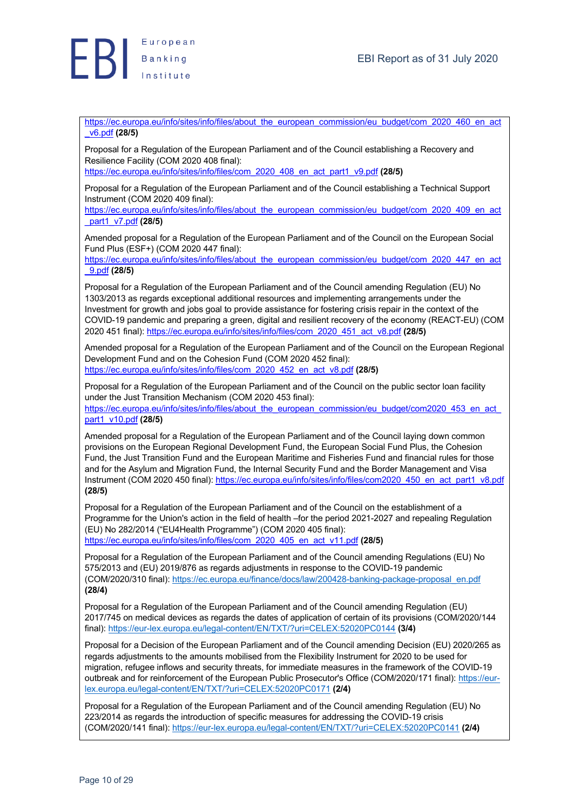

https://ec.europa.eu/info/sites/info/files/about\_the\_european\_commission/eu\_budget/com\_2020\_460\_en\_act \_v6.pdf **(28/5)**

Proposal for a Regulation of the European Parliament and of the Council establishing a Recovery and Resilience Facility (COM 2020 408 final):

https://ec.europa.eu/info/sites/info/files/com\_2020\_408\_en\_act\_part1\_v9.pdf **(28/5)**

Proposal for a Regulation of the European Parliament and of the Council establishing a Technical Support Instrument (COM 2020 409 final):

https://ec.europa.eu/info/sites/info/files/about\_the\_european\_commission/eu\_budget/com\_2020\_409\_en\_act \_part1\_v7.pdf **(28/5)**

Amended proposal for a Regulation of the European Parliament and of the Council on the European Social Fund Plus (ESF+) (COM 2020 447 final):

https://ec.europa.eu/info/sites/info/files/about\_the\_european\_commission/eu\_budget/com\_2020\_447\_en\_act \_9.pdf **(28/5)**

Proposal for a Regulation of the European Parliament and of the Council amending Regulation (EU) No 1303/2013 as regards exceptional additional resources and implementing arrangements under the Investment for growth and jobs goal to provide assistance for fostering crisis repair in the context of the COVID-19 pandemic and preparing a green, digital and resilient recovery of the economy (REACT-EU) (COM 2020 451 final): https://ec.europa.eu/info/sites/info/files/com\_2020\_451\_act\_v8.pdf **(28/5)**

Amended proposal for a Regulation of the European Parliament and of the Council on the European Regional Development Fund and on the Cohesion Fund (COM 2020 452 final): https://ec.europa.eu/info/sites/info/files/com\_2020\_452\_en\_act\_v8.pdf **(28/5)**

Proposal for a Regulation of the European Parliament and of the Council on the public sector loan facility under the Just Transition Mechanism (COM 2020 453 final): https://ec.europa.eu/info/sites/info/files/about\_the\_european\_commission/eu\_budget/com2020\_453\_en\_act

part1\_v10.pdf **(28/5)**

Amended proposal for a Regulation of the European Parliament and of the Council laying down common provisions on the European Regional Development Fund, the European Social Fund Plus, the Cohesion Fund, the Just Transition Fund and the European Maritime and Fisheries Fund and financial rules for those and for the Asylum and Migration Fund, the Internal Security Fund and the Border Management and Visa Instrument (COM 2020 450 final): https://ec.europa.eu/info/sites/info/files/com2020\_450\_en\_act\_part1\_v8.pdf **(28/5)**

Proposal for a Regulation of the European Parliament and of the Council on the establishment of a Programme for the Union's action in the field of health –for the period 2021-2027 and repealing Regulation (EU) No 282/2014 ("EU4Health Programme") (COM 2020 405 final): https://ec.europa.eu/info/sites/info/files/com\_2020\_405\_en\_act\_v11.pdf **(28/5)**

Proposal for a Regulation of the European Parliament and of the Council amending Regulations (EU) No 575/2013 and (EU) 2019/876 as regards adjustments in response to the COVID-19 pandemic (COM/2020/310 final): https://ec.europa.eu/finance/docs/law/200428-banking-package-proposal\_en.pdf **(28/4)**

Proposal for a Regulation of the European Parliament and of the Council amending Regulation (EU) 2017/745 on medical devices as regards the dates of application of certain of its provisions (COM/2020/144 final): https://eur-lex.europa.eu/legal-content/EN/TXT/?uri=CELEX:52020PC0144 **(3/4)**

Proposal for a Decision of the European Parliament and of the Council amending Decision (EU) 2020/265 as regards adjustments to the amounts mobilised from the Flexibility Instrument for 2020 to be used for migration, refugee inflows and security threats, for immediate measures in the framework of the COVID-19 outbreak and for reinforcement of the European Public Prosecutor's Office (COM/2020/171 final): https://eurlex.europa.eu/legal-content/EN/TXT/?uri=CELEX:52020PC0171 **(2/4)**

Proposal for a Regulation of the European Parliament and of the Council amending Regulation (EU) No 223/2014 as regards the introduction of specific measures for addressing the COVID-19 crisis (COM/2020/141 final): https://eur-lex.europa.eu/legal-content/EN/TXT/?uri=CELEX:52020PC0141 **(2/4)**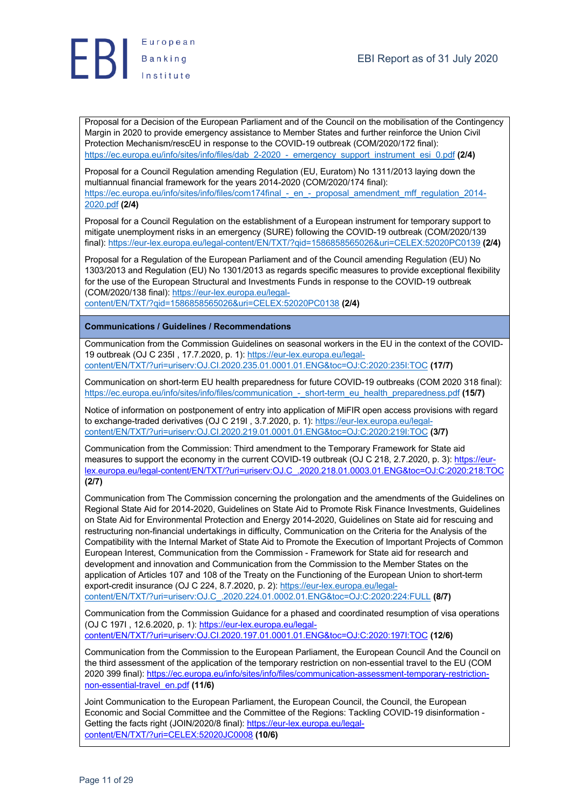

Proposal for a Decision of the European Parliament and of the Council on the mobilisation of the Contingency Margin in 2020 to provide emergency assistance to Member States and further reinforce the Union Civil Protection Mechanism/rescEU in response to the COVID-19 outbreak (COM/2020/172 final): https://ec.europa.eu/info/sites/info/files/dab\_2-2020\_-\_emergency\_support\_instrument\_esi\_0.pdf **(2/4)**

Proposal for a Council Regulation amending Regulation (EU, Euratom) No 1311/2013 laying down the multiannual financial framework for the years 2014-2020 (COM/2020/174 final): https://ec.europa.eu/info/sites/info/files/com174final - en - proposal amendment mff regulation 2014-2020.pdf **(2/4)**

Proposal for a Council Regulation on the establishment of a European instrument for temporary support to mitigate unemployment risks in an emergency (SURE) following the COVID-19 outbreak (COM/2020/139 final): https://eur-lex.europa.eu/legal-content/EN/TXT/?qid=1586858565026&uri=CELEX:52020PC0139 **(2/4)**

Proposal for a Regulation of the European Parliament and of the Council amending Regulation (EU) No 1303/2013 and Regulation (EU) No 1301/2013 as regards specific measures to provide exceptional flexibility for the use of the European Structural and Investments Funds in response to the COVID-19 outbreak (COM/2020/138 final): https://eur-lex.europa.eu/legal-

content/EN/TXT/?qid=1586858565026&uri=CELEX:52020PC0138 **(2/4)**

## **Communications / Guidelines / Recommendations**

Communication from the Commission Guidelines on seasonal workers in the EU in the context of the COVID-19 outbreak (OJ C 235I , 17.7.2020, p. 1): https://eur-lex.europa.eu/legalcontent/EN/TXT/?uri=uriserv:OJ.CI.2020.235.01.0001.01.ENG&toc=OJ:C:2020:235I:TOC **(17/7)**

Communication on short-term EU health preparedness for future COVID-19 outbreaks (COM 2020 318 final): https://ec.europa.eu/info/sites/info/files/communication\_-\_short-term\_eu\_health\_preparedness.pdf **(15/7)**

Notice of information on postponement of entry into application of MiFIR open access provisions with regard to exchange-traded derivatives (OJ C 219I , 3.7.2020, p. 1): https://eur-lex.europa.eu/legalcontent/EN/TXT/?uri=uriserv:OJ.CI.2020.219.01.0001.01.ENG&toc=OJ:C:2020:219I:TOC **(3/7)**

Communication from the Commission: Third amendment to the Temporary Framework for State aid measures to support the economy in the current COVID-19 outbreak (OJ C 218, 2.7.2020, p. 3): https://eurlex.europa.eu/legal-content/EN/TXT/?uri=uriserv:OJ.C\_.2020.218.01.0003.01.ENG&toc=OJ:C:2020:218:TOC **(2/7)**

Communication from The Commission concerning the prolongation and the amendments of the Guidelines on Regional State Aid for 2014-2020, Guidelines on State Aid to Promote Risk Finance Investments, Guidelines on State Aid for Environmental Protection and Energy 2014-2020, Guidelines on State aid for rescuing and restructuring non-financial undertakings in difficulty, Communication on the Criteria for the Analysis of the Compatibility with the Internal Market of State Aid to Promote the Execution of Important Projects of Common European Interest, Communication from the Commission - Framework for State aid for research and development and innovation and Communication from the Commission to the Member States on the application of Articles 107 and 108 of the Treaty on the Functioning of the European Union to short-term export-credit insurance (OJ C 224, 8.7.2020, p. 2): https://eur-lex.europa.eu/legal-

content/EN/TXT/?uri=uriserv:OJ.C\_.2020.224.01.0002.01.ENG&toc=OJ:C:2020:224:FULL **(8/7)**

Communication from the Commission Guidance for a phased and coordinated resumption of visa operations (OJ C 197I , 12.6.2020, p. 1): https://eur-lex.europa.eu/legalcontent/EN/TXT/?uri=uriserv:OJ.CI.2020.197.01.0001.01.ENG&toc=OJ:C:2020:197I:TOC **(12/6)**

Communication from the Commission to the European Parliament, the European Council And the Council on the third assessment of the application of the temporary restriction on non-essential travel to the EU (COM 2020 399 final): https://ec.europa.eu/info/sites/info/files/communication-assessment-temporary-restrictionnon-essential-travel\_en.pdf **(11/6)**

Joint Communication to the European Parliament, the European Council, the Council, the European Economic and Social Committee and the Committee of the Regions: Tackling COVID-19 disinformation - Getting the facts right (JOIN/2020/8 final): https://eur-lex.europa.eu/legalcontent/EN/TXT/?uri=CELEX:52020JC0008 **(10/6)**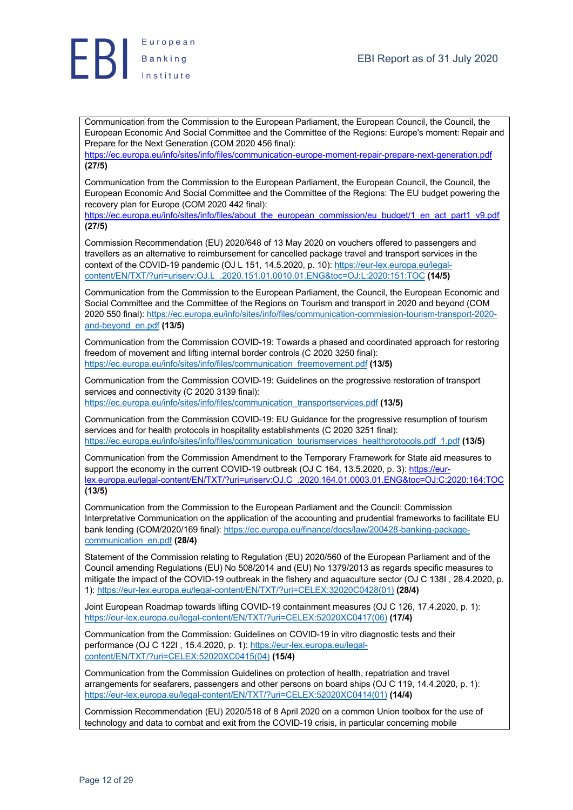

Communication from the Commission to the European Parliament, the European Council, the Council, the European Economic And Social Committee and the Committee of the Regions: Europe's moment: Repair and Prepare for the Next Generation (COM 2020 456 final):

https://ec.europa.eu/info/sites/info/files/communication-europe-moment-repair-prepare-next-generation.pdf **(27/5)**

Communication from the Commission to the European Parliament, the European Council, the Council, the European Economic And Social Committee and the Committee of the Regions: The EU budget powering the recovery plan for Europe (COM 2020 442 final):

https://ec.europa.eu/info/sites/info/files/about\_the\_european\_commission/eu\_budget/1\_en\_act\_part1\_v9.pdf **(27/5)**

Commission Recommendation (EU) 2020/648 of 13 May 2020 on vouchers offered to passengers and travellers as an alternative to reimbursement for cancelled package travel and transport services in the context of the COVID-19 pandemic (OJ L 151, 14.5.2020, p. 10): https://eur-lex.europa.eu/legalcontent/EN/TXT/?uri=uriserv:OJ.L\_.2020.151.01.0010.01.ENG&toc=OJ:L:2020:151:TOC **(14/5)**

Communication from the Commission to the European Parliament, the Council, the European Economic and Social Committee and the Committee of the Regions on Tourism and transport in 2020 and beyond (COM 2020 550 final): https://ec.europa.eu/info/sites/info/files/communication-commission-tourism-transport-2020 and-beyond\_en.pdf **(13/5)**

Communication from the Commission COVID-19: Towards a phased and coordinated approach for restoring freedom of movement and lifting internal border controls (C 2020 3250 final): https://ec.europa.eu/info/sites/info/files/communication\_freemovement.pdf **(13/5)**

Communication from the Commission COVID-19: Guidelines on the progressive restoration of transport services and connectivity (C 2020 3139 final): https://ec.europa.eu/info/sites/info/files/communication\_transportservices.pdf **(13/5)**

Communication from the Commission COVID-19: EU Guidance for the progressive resumption of tourism services and for health protocols in hospitality establishments (C 2020 3251 final): https://ec.europa.eu/info/sites/info/files/communication\_tourismservices\_healthprotocols.pdf\_1.pdf **(13/5)**

Communication from the Commission Amendment to the Temporary Framework for State aid measures to support the economy in the current COVID-19 outbreak (OJ C 164, 13.5.2020, p. 3): https://eurlex.europa.eu/legal-content/EN/TXT/?uri=uriserv:OJ.C\_.2020.164.01.0003.01.ENG&toc=OJ:C:2020:164:TOC **(13/5)**

Communication from the Commission to the European Parliament and the Council: Commission Interpretative Communication on the application of the accounting and prudential frameworks to facilitate EU bank lending (COM/2020/169 final): https://ec.europa.eu/finance/docs/law/200428-banking-packagecommunication\_en.pdf **(28/4)**

Statement of the Commission relating to Regulation (EU) 2020/560 of the European Parliament and of the Council amending Regulations (EU) No 508/2014 and (EU) No 1379/2013 as regards specific measures to mitigate the impact of the COVID-19 outbreak in the fishery and aquaculture sector (OJ C 138I , 28.4.2020, p. 1): https://eur-lex.europa.eu/legal-content/EN/TXT/?uri=CELEX:32020C0428(01) **(28/4)**

Joint European Roadmap towards lifting COVID-19 containment measures (OJ C 126, 17.4.2020, p. 1): https://eur-lex.europa.eu/legal-content/EN/TXT/?uri=CELEX:52020XC0417(06) **(17/4)**

Communication from the Commission: Guidelines on COVID-19 in vitro diagnostic tests and their performance (OJ C 122I , 15.4.2020, p. 1): https://eur-lex.europa.eu/legalcontent/EN/TXT/?uri=CELEX:52020XC0415(04) **(15/4)**

Communication from the Commission Guidelines on protection of health, repatriation and travel arrangements for seafarers, passengers and other persons on board ships (OJ C 119, 14.4.2020, p. 1): https://eur-lex.europa.eu/legal-content/EN/TXT/?uri=CELEX:52020XC0414(01) **(14/4)**

Commission Recommendation (EU) 2020/518 of 8 April 2020 on a common Union toolbox for the use of technology and data to combat and exit from the COVID-19 crisis, in particular concerning mobile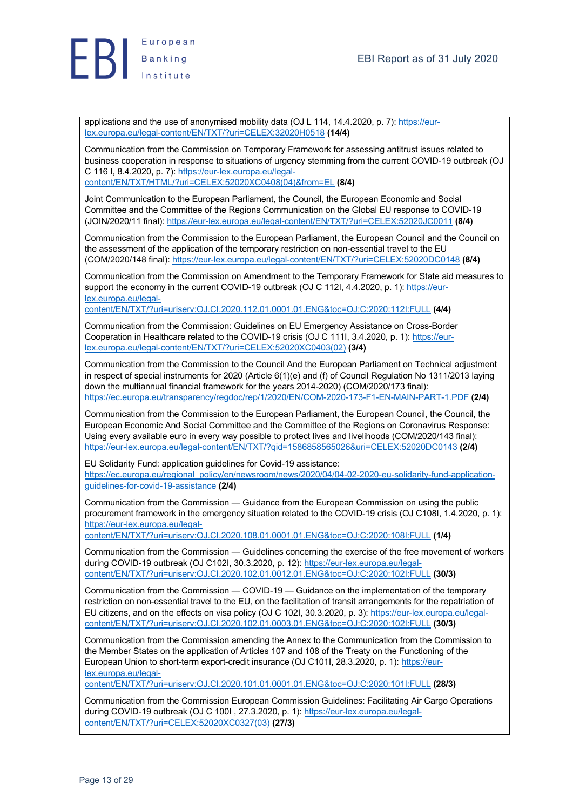

applications and the use of anonymised mobility data (OJ L 114, 14.4.2020, p. 7): https://eurlex.europa.eu/legal-content/EN/TXT/?uri=CELEX:32020H0518 **(14/4)**

Communication from the Commission on Temporary Framework for assessing antitrust issues related to business cooperation in response to situations of urgency stemming from the current COVID-19 outbreak (OJ C 116 I, 8.4.2020, p. 7): https://eur-lex.europa.eu/legalcontent/EN/TXT/HTML/?uri=CELEX:52020XC0408(04)&from=EL **(8/4)**

Joint Communication to the European Parliament, the Council, the European Economic and Social Committee and the Committee of the Regions Communication on the Global EU response to COVID-19 (JOIN/2020/11 final): https://eur-lex.europa.eu/legal-content/EN/TXT/?uri=CELEX:52020JC0011 **(8/4)**

Communication from the Commission to the European Parliament, the European Council and the Council on the assessment of the application of the temporary restriction on non-essential travel to the EU (COM/2020/148 final): https://eur-lex.europa.eu/legal-content/EN/TXT/?uri=CELEX:52020DC0148 **(8/4)**

Communication from the Commission on Amendment to the Temporary Framework for State aid measures to support the economy in the current COVID-19 outbreak (OJ C 112I, 4.4.2020, p. 1): https://eurlex.europa.eu/legal-

content/EN/TXT/?uri=uriserv:OJ.CI.2020.112.01.0001.01.ENG&toc=OJ:C:2020:112I:FULL **(4/4)**

Communication from the Commission: Guidelines on EU Emergency Assistance on Cross-Border Cooperation in Healthcare related to the COVID-19 crisis (OJ C 111I, 3.4.2020, p. 1): https://eurlex.europa.eu/legal-content/EN/TXT/?uri=CELEX:52020XC0403(02) **(3/4)**

Communication from the Commission to the Council And the European Parliament on Technical adjustment in respect of special instruments for 2020 (Article 6(1)(e) and (f) of Council Regulation No 1311/2013 laying down the multiannual financial framework for the years 2014-2020) (COM/2020/173 final): https://ec.europa.eu/transparency/regdoc/rep/1/2020/EN/COM-2020-173-F1-EN-MAIN-PART-1.PDF **(2/4)**

Communication from the Commission to the European Parliament, the European Council, the Council, the European Economic And Social Committee and the Committee of the Regions on Coronavirus Response: Using every available euro in every way possible to protect lives and livelihoods (COM/2020/143 final): https://eur-lex.europa.eu/legal-content/EN/TXT/?qid=1586858565026&uri=CELEX:52020DC0143 **(2/4)**

EU Solidarity Fund: application guidelines for Covid-19 assistance: https://ec.europa.eu/regional\_policy/en/newsroom/news/2020/04/04-02-2020-eu-solidarity-fund-applicationguidelines-for-covid-19-assistance **(2/4)**

Communication from the Commission — Guidance from the European Commission on using the public procurement framework in the emergency situation related to the COVID-19 crisis (OJ C108I, 1.4.2020, p. 1): https://eur-lex.europa.eu/legal-

content/EN/TXT/?uri=uriserv:OJ.CI.2020.108.01.0001.01.ENG&toc=OJ:C:2020:108I:FULL **(1/4)**

Communication from the Commission — Guidelines concerning the exercise of the free movement of workers during COVID-19 outbreak (OJ C102I, 30.3.2020, p. 12): https://eur-lex.europa.eu/legalcontent/EN/TXT/?uri=uriserv:OJ.CI.2020.102.01.0012.01.ENG&toc=OJ:C:2020:102I:FULL **(30/3)**

Communication from the Commission — COVID-19 — Guidance on the implementation of the temporary restriction on non-essential travel to the EU, on the facilitation of transit arrangements for the repatriation of EU citizens, and on the effects on visa policy (OJ C 102I, 30.3.2020, p. 3): https://eur-lex.europa.eu/legalcontent/EN/TXT/?uri=uriserv:OJ.CI.2020.102.01.0003.01.ENG&toc=OJ:C:2020:102I:FULL **(30/3)**

Communication from the Commission amending the Annex to the Communication from the Commission to the Member States on the application of Articles 107 and 108 of the Treaty on the Functioning of the European Union to short-term export-credit insurance (OJ C101I, 28.3.2020, p. 1): https://eurlex.europa.eu/legal-

content/EN/TXT/?uri=uriserv:OJ.CI.2020.101.01.0001.01.ENG&toc=OJ:C:2020:101I:FULL **(28/3)**

Communication from the Commission European Commission Guidelines: Facilitating Air Cargo Operations during COVID-19 outbreak (OJ C 100I , 27.3.2020, p. 1): https://eur-lex.europa.eu/legalcontent/EN/TXT/?uri=CELEX:52020XC0327(03) **(27/3)**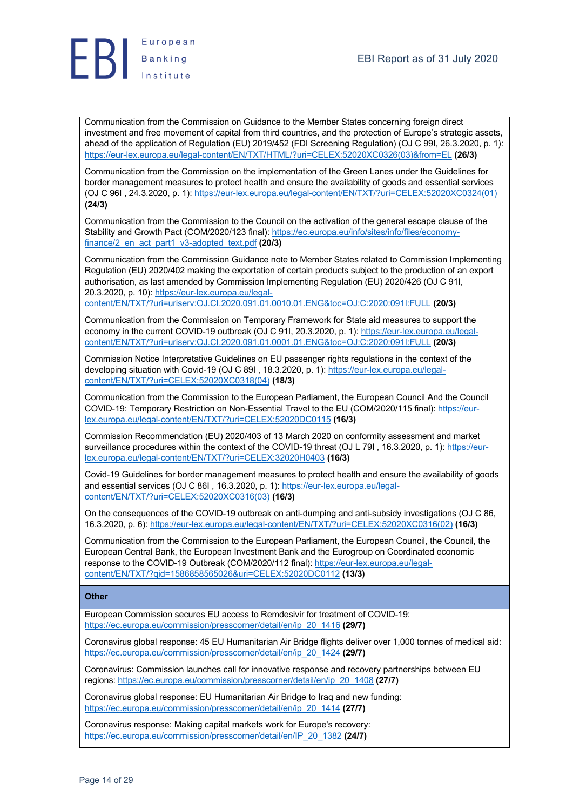

Communication from the Commission on Guidance to the Member States concerning foreign direct investment and free movement of capital from third countries, and the protection of Europe's strategic assets, ahead of the application of Regulation (EU) 2019/452 (FDI Screening Regulation) (OJ C 99I, 26.3.2020, p. 1): https://eur-lex.europa.eu/legal-content/EN/TXT/HTML/?uri=CELEX:52020XC0326(03)&from=EL **(26/3)**

Communication from the Commission on the implementation of the Green Lanes under the Guidelines for border management measures to protect health and ensure the availability of goods and essential services (OJ C 96I , 24.3.2020, p. 1): https://eur-lex.europa.eu/legal-content/EN/TXT/?uri=CELEX:52020XC0324(01) **(24/3)**

Communication from the Commission to the Council on the activation of the general escape clause of the Stability and Growth Pact (COM/2020/123 final): https://ec.europa.eu/info/sites/info/files/economyfinance/2\_en\_act\_part1\_v3-adopted\_text.pdf **(20/3)**

Communication from the Commission Guidance note to Member States related to Commission Implementing Regulation (EU) 2020/402 making the exportation of certain products subject to the production of an export authorisation, as last amended by Commission Implementing Regulation (EU) 2020/426 (OJ C 91I, 20.3.2020, p. 10): https://eur-lex.europa.eu/legal-

content/EN/TXT/?uri=uriserv:OJ.CI.2020.091.01.0010.01.ENG&toc=OJ:C:2020:091I:FULL **(20/3)**

Communication from the Commission on Temporary Framework for State aid measures to support the economy in the current COVID-19 outbreak (OJ C 91I, 20.3.2020, p. 1): https://eur-lex.europa.eu/legalcontent/EN/TXT/?uri=uriserv:OJ.CI.2020.091.01.0001.01.ENG&toc=OJ:C:2020:091I:FULL **(20/3)**

Commission Notice Interpretative Guidelines on EU passenger rights regulations in the context of the developing situation with Covid-19 (OJ C 89I , 18.3.2020, p. 1): https://eur-lex.europa.eu/legalcontent/EN/TXT/?uri=CELEX:52020XC0318(04) **(18/3)**

Communication from the Commission to the European Parliament, the European Council And the Council COVID-19: Temporary Restriction on Non-Essential Travel to the EU (COM/2020/115 final): https://eurlex.europa.eu/legal-content/EN/TXT/?uri=CELEX:52020DC0115 **(16/3)**

Commission Recommendation (EU) 2020/403 of 13 March 2020 on conformity assessment and market surveillance procedures within the context of the COVID-19 threat (OJ L 79I, 16.3.2020, p. 1): https://eurlex.europa.eu/legal-content/EN/TXT/?uri=CELEX:32020H0403 **(16/3)**

Covid-19 Guidelines for border management measures to protect health and ensure the availability of goods and essential services (OJ C 86I , 16.3.2020, p. 1): https://eur-lex.europa.eu/legalcontent/EN/TXT/?uri=CELEX:52020XC0316(03) **(16/3)**

On the consequences of the COVID-19 outbreak on anti-dumping and anti-subsidy investigations (OJ C 86, 16.3.2020, p. 6): https://eur-lex.europa.eu/legal-content/EN/TXT/?uri=CELEX:52020XC0316(02) **(16/3)**

Communication from the Commission to the European Parliament, the European Council, the Council, the European Central Bank, the European Investment Bank and the Eurogroup on Coordinated economic response to the COVID-19 Outbreak (COM/2020/112 final): https://eur-lex.europa.eu/legalcontent/EN/TXT/?qid=1586858565026&uri=CELEX:52020DC0112 **(13/3)**

#### **Other**

European Commission secures EU access to Remdesivir for treatment of COVID-19: https://ec.europa.eu/commission/presscorner/detail/en/ip\_20\_1416 **(29/7)**

Coronavirus global response: 45 EU Humanitarian Air Bridge flights deliver over 1,000 tonnes of medical aid: https://ec.europa.eu/commission/presscorner/detail/en/ip\_20\_1424 **(29/7)**

Coronavirus: Commission launches call for innovative response and recovery partnerships between EU regions: https://ec.europa.eu/commission/presscorner/detail/en/ip\_20\_1408 **(27/7)**

Coronavirus global response: EU Humanitarian Air Bridge to Iraq and new funding: https://ec.europa.eu/commission/presscorner/detail/en/ip\_20\_1414 **(27/7)**

Coronavirus response: Making capital markets work for Europe's recovery: https://ec.europa.eu/commission/presscorner/detail/en/IP\_20\_1382 **(24/7)**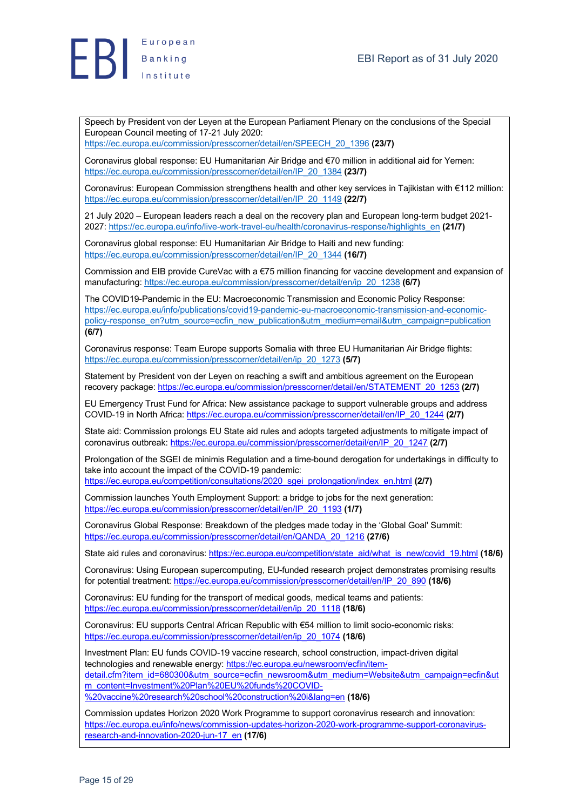



Speech by President von der Leyen at the European Parliament Plenary on the conclusions of the Special European Council meeting of 17-21 July 2020:

https://ec.europa.eu/commission/presscorner/detail/en/SPEECH\_20\_1396 **(23/7)**

Coronavirus global response: EU Humanitarian Air Bridge and €70 million in additional aid for Yemen: https://ec.europa.eu/commission/presscorner/detail/en/IP\_20\_1384 **(23/7)**

Coronavirus: European Commission strengthens health and other key services in Tajikistan with €112 million: https://ec.europa.eu/commission/presscorner/detail/en/IP\_20\_1149 **(22/7)**

21 July 2020 – European leaders reach a deal on the recovery plan and European long-term budget 2021- 2027: https://ec.europa.eu/info/live-work-travel-eu/health/coronavirus-response/highlights\_en **(21/7)**

Coronavirus global response: EU Humanitarian Air Bridge to Haiti and new funding: https://ec.europa.eu/commission/presscorner/detail/en/IP\_20\_1344 **(16/7)**

Commission and EIB provide CureVac with a €75 million financing for vaccine development and expansion of manufacturing: https://ec.europa.eu/commission/presscorner/detail/en/ip\_20\_1238 **(6/7)**

The COVID19-Pandemic in the EU: Macroeconomic Transmission and Economic Policy Response: https://ec.europa.eu/info/publications/covid19-pandemic-eu-macroeconomic-transmission-and-economicpolicy-response\_en?utm\_source=ecfin\_new\_publication&utm\_medium=email&utm\_campaign=publication **(6/7)**

Coronavirus response: Team Europe supports Somalia with three EU Humanitarian Air Bridge flights: https://ec.europa.eu/commission/presscorner/detail/en/ip\_20\_1273 **(5/7)**

Statement by President von der Leyen on reaching a swift and ambitious agreement on the European recovery package: https://ec.europa.eu/commission/presscorner/detail/en/STATEMENT\_20\_1253 **(2/7)**

EU Emergency Trust Fund for Africa: New assistance package to support vulnerable groups and address COVID-19 in North Africa: https://ec.europa.eu/commission/presscorner/detail/en/IP\_20\_1244 **(2/7)**

State aid: Commission prolongs EU State aid rules and adopts targeted adjustments to mitigate impact of coronavirus outbreak: https://ec.europa.eu/commission/presscorner/detail/en/IP\_20\_1247 **(2/7)**

Prolongation of the SGEI de minimis Regulation and a time-bound derogation for undertakings in difficulty to take into account the impact of the COVID-19 pandemic:

https://ec.europa.eu/competition/consultations/2020\_sgei\_prolongation/index\_en.html **(2/7)**

Commission launches Youth Employment Support: a bridge to jobs for the next generation: https://ec.europa.eu/commission/presscorner/detail/en/IP\_20\_1193 **(1/7)**

Coronavirus Global Response: Breakdown of the pledges made today in the 'Global Goal' Summit: https://ec.europa.eu/commission/presscorner/detail/en/QANDA\_20\_1216 **(27/6)**

State aid rules and coronavirus: https://ec.europa.eu/competition/state\_aid/what\_is\_new/covid\_19.html **(18/6)**

Coronavirus: Using European supercomputing, EU-funded research project demonstrates promising results for potential treatment: https://ec.europa.eu/commission/presscorner/detail/en/IP\_20\_890 **(18/6)**

Coronavirus: EU funding for the transport of medical goods, medical teams and patients: https://ec.europa.eu/commission/presscorner/detail/en/ip\_20\_1118 **(18/6)**

Coronavirus: EU supports Central African Republic with €54 million to limit socio-economic risks: https://ec.europa.eu/commission/presscorner/detail/en/ip\_20\_1074 **(18/6)**

Investment Plan: EU funds COVID-19 vaccine research, school construction, impact-driven digital technologies and renewable energy: https://ec.europa.eu/newsroom/ecfin/itemdetail.cfm?item\_id=680300&utm\_source=ecfin\_newsroom&utm\_medium=Website&utm\_campaign=ecfin&ut m\_content=Investment%20Plan%20EU%20funds%20COVID-%20vaccine%20research%20school%20construction%20i&lang=en **(18/6)**

Commission updates Horizon 2020 Work Programme to support coronavirus research and innovation: https://ec.europa.eu/info/news/commission-updates-horizon-2020-work-programme-support-coronavirusresearch-and-innovation-2020-jun-17\_en **(17/6)**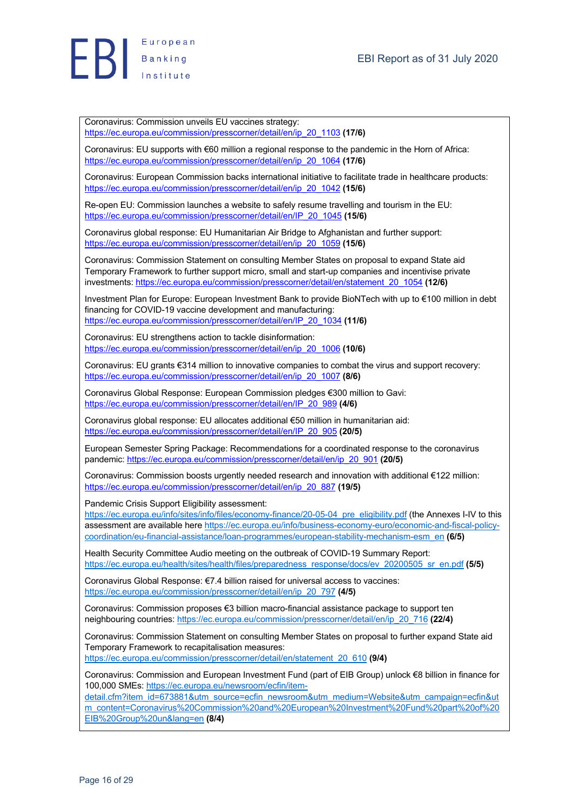

Coronavirus: Commission unveils EU vaccines strategy: https://ec.europa.eu/commission/presscorner/detail/en/ip\_20\_1103 **(17/6)**

Coronavirus: EU supports with €60 million a regional response to the pandemic in the Horn of Africa: https://ec.europa.eu/commission/presscorner/detail/en/ip\_20\_1064 **(17/6)**

Coronavirus: European Commission backs international initiative to facilitate trade in healthcare products: https://ec.europa.eu/commission/presscorner/detail/en/ip\_20\_1042 **(15/6)**

Re-open EU: Commission launches a website to safely resume travelling and tourism in the EU: https://ec.europa.eu/commission/presscorner/detail/en/IP\_20\_1045 **(15/6)**

Coronavirus global response: EU Humanitarian Air Bridge to Afghanistan and further support: https://ec.europa.eu/commission/presscorner/detail/en/ip\_20\_1059 **(15/6)**

Coronavirus: Commission Statement on consulting Member States on proposal to expand State aid Temporary Framework to further support micro, small and start-up companies and incentivise private investments: https://ec.europa.eu/commission/presscorner/detail/en/statement\_20\_1054 **(12/6)**

Investment Plan for Europe: European Investment Bank to provide BioNTech with up to €100 million in debt financing for COVID-19 vaccine development and manufacturing: https://ec.europa.eu/commission/presscorner/detail/en/IP\_20\_1034 **(11/6)**

Coronavirus: EU strengthens action to tackle disinformation: https://ec.europa.eu/commission/presscorner/detail/en/ip\_20\_1006 **(10/6)**

Coronavirus: EU grants €314 million to innovative companies to combat the virus and support recovery: https://ec.europa.eu/commission/presscorner/detail/en/ip\_20\_1007 **(8/6)**

Coronavirus Global Response: European Commission pledges €300 million to Gavi: https://ec.europa.eu/commission/presscorner/detail/en/IP\_20\_989 **(4/6)**

Coronavirus global response: EU allocates additional €50 million in humanitarian aid: https://ec.europa.eu/commission/presscorner/detail/en/IP\_20\_905 **(20/5)**

European Semester Spring Package: Recommendations for a coordinated response to the coronavirus pandemic: https://ec.europa.eu/commission/presscorner/detail/en/ip\_20\_901 **(20/5)**

Coronavirus: Commission boosts urgently needed research and innovation with additional €122 million: https://ec.europa.eu/commission/presscorner/detail/en/ip\_20\_887 **(19/5)**

Pandemic Crisis Support Eligibility assessment:

https://ec.europa.eu/info/sites/info/files/economy-finance/20-05-04\_pre\_eligibility.pdf (the Annexes I-IV to this assessment are available here https://ec.europa.eu/info/business-economy-euro/economic-and-fiscal-policycoordination/eu-financial-assistance/loan-programmes/european-stability-mechanism-esm\_en **(6/5)**

Health Security Committee Audio meeting on the outbreak of COVID-19 Summary Report: https://ec.europa.eu/health/sites/health/files/preparedness\_response/docs/ev\_20200505\_sr\_en.pdf **(5/5)**

Coronavirus Global Response: €7.4 billion raised for universal access to vaccines: https://ec.europa.eu/commission/presscorner/detail/en/ip\_20\_797 **(4/5)**

Coronavirus: Commission proposes €3 billion macro-financial assistance package to support ten neighbouring countries: https://ec.europa.eu/commission/presscorner/detail/en/ip\_20\_716 **(22/4)**

Coronavirus: Commission Statement on consulting Member States on proposal to further expand State aid Temporary Framework to recapitalisation measures: https://ec.europa.eu/commission/presscorner/detail/en/statement\_20\_610 **(9/4)**

Coronavirus: Commission and European Investment Fund (part of EIB Group) unlock €8 billion in finance for 100,000 SMEs: https://ec.europa.eu/newsroom/ecfin/item-

detail.cfm?item\_id=673881&utm\_source=ecfin\_newsroom&utm\_medium=Website&utm\_campaign=ecfin&ut m\_content=Coronavirus%20Commission%20and%20European%20Investment%20Fund%20part%20of%20 EIB%20Group%20un&lang=en **(8/4)**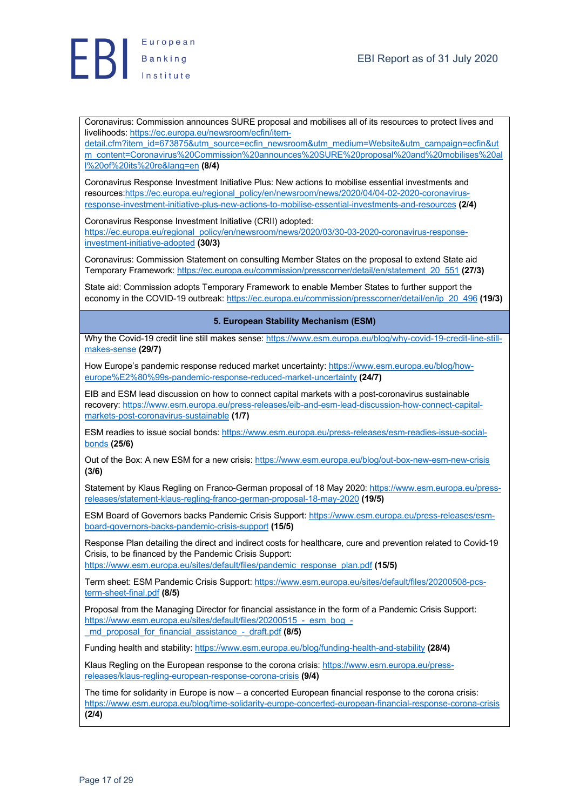

Coronavirus: Commission announces SURE proposal and mobilises all of its resources to protect lives and livelihoods: https://ec.europa.eu/newsroom/ecfin/item-

detail.cfm?item\_id=673875&utm\_source=ecfin\_newsroom&utm\_medium=Website&utm\_campaign=ecfin&ut m\_content=Coronavirus%20Commission%20announces%20SURE%20proposal%20and%20mobilises%20al l%20of%20its%20re&lang=en **(8/4)**

Coronavirus Response Investment Initiative Plus: New actions to mobilise essential investments and resources:https://ec.europa.eu/regional\_policy/en/newsroom/news/2020/04/04-02-2020-coronavirusresponse-investment-initiative-plus-new-actions-to-mobilise-essential-investments-and-resources **(2/4)**

Coronavirus Response Investment Initiative (CRII) adopted: https://ec.europa.eu/regional\_policy/en/newsroom/news/2020/03/30-03-2020-coronavirus-responseinvestment-initiative-adopted **(30/3)**

Coronavirus: Commission Statement on consulting Member States on the proposal to extend State aid Temporary Framework: https://ec.europa.eu/commission/presscorner/detail/en/statement\_20\_551 **(27/3)**

State aid: Commission adopts Temporary Framework to enable Member States to further support the economy in the COVID-19 outbreak: https://ec.europa.eu/commission/presscorner/detail/en/ip\_20\_496 **(19/3)**

#### **5. European Stability Mechanism (ESM)**

Why the Covid-19 credit line still makes sense: https://www.esm.europa.eu/blog/why-covid-19-credit-line-stillmakes-sense **(29/7)**

How Europe's pandemic response reduced market uncertainty: https://www.esm.europa.eu/blog/howeurope%E2%80%99s-pandemic-response-reduced-market-uncertainty **(24/7)**

EIB and ESM lead discussion on how to connect capital markets with a post-coronavirus sustainable recovery: https://www.esm.europa.eu/press-releases/eib-and-esm-lead-discussion-how-connect-capitalmarkets-post-coronavirus-sustainable **(1/7)**

ESM readies to issue social bonds: https://www.esm.europa.eu/press-releases/esm-readies-issue-socialbonds **(25/6)**

Out of the Box: A new ESM for a new crisis: https://www.esm.europa.eu/blog/out-box-new-esm-new-crisis **(3/6)**

Statement by Klaus Regling on Franco-German proposal of 18 May 2020: https://www.esm.europa.eu/pressreleases/statement-klaus-regling-franco-german-proposal-18-may-2020 **(19/5)**

ESM Board of Governors backs Pandemic Crisis Support: https://www.esm.europa.eu/press-releases/esmboard-governors-backs-pandemic-crisis-support **(15/5)**

Response Plan detailing the direct and indirect costs for healthcare, cure and prevention related to Covid-19 Crisis, to be financed by the Pandemic Crisis Support:

https://www.esm.europa.eu/sites/default/files/pandemic\_response\_plan.pdf **(15/5)**

Term sheet: ESM Pandemic Crisis Support: https://www.esm.europa.eu/sites/default/files/20200508-pcsterm-sheet-final.pdf **(8/5)**

Proposal from the Managing Director for financial assistance in the form of a Pandemic Crisis Support: https://www.esm.europa.eu/sites/default/files/20200515 - esm\_bog\_-\_md\_proposal\_for\_financial\_assistance\_-\_draft.pdf **(8/5)**

Funding health and stability: https://www.esm.europa.eu/blog/funding-health-and-stability **(28/4)**

Klaus Regling on the European response to the corona crisis: https://www.esm.europa.eu/pressreleases/klaus-regling-european-response-corona-crisis **(9/4)**

The time for solidarity in Europe is now – a concerted European financial response to the corona crisis: https://www.esm.europa.eu/blog/time-solidarity-europe-concerted-european-financial-response-corona-crisis **(2/4)**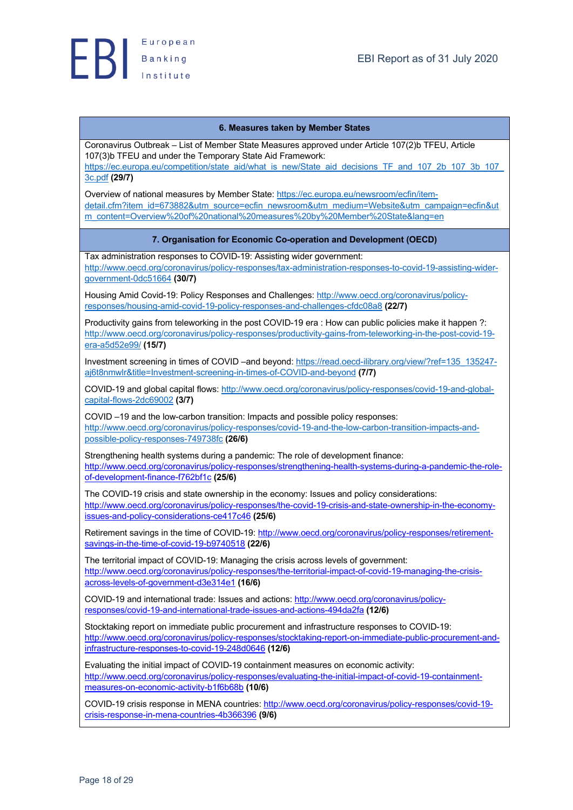#### **6. Measures taken by Member States**

Coronavirus Outbreak – List of Member State Measures approved under Article 107(2)b TFEU, Article 107(3)b TFEU and under the Temporary State Aid Framework:

https://ec.europa.eu/competition/state\_aid/what\_is\_new/State\_aid\_decisions\_TF\_and\_107\_2b\_107\_3b\_107\_ 3c.pdf **(29/7)**

Overview of national measures by Member State: https://ec.europa.eu/newsroom/ecfin/itemdetail.cfm?item\_id=673882&utm\_source=ecfin\_newsroom&utm\_medium=Website&utm\_campaign=ecfin&ut m\_content=Overview%20of%20national%20measures%20by%20Member%20State&lang=en

#### **7. Organisation for Economic Co-operation and Development (OECD)**

Tax administration responses to COVID-19: Assisting wider government:

http://www.oecd.org/coronavirus/policy-responses/tax-administration-responses-to-covid-19-assisting-widergovernment-0dc51664 **(30/7)**

Housing Amid Covid-19: Policy Responses and Challenges: http://www.oecd.org/coronavirus/policyresponses/housing-amid-covid-19-policy-responses-and-challenges-cfdc08a8 **(22/7)**

Productivity gains from teleworking in the post COVID-19 era : How can public policies make it happen ?: http://www.oecd.org/coronavirus/policy-responses/productivity-gains-from-teleworking-in-the-post-covid-19 era-a5d52e99/ **(15/7)**

Investment screening in times of COVID –and beyond: https://read.oecd-ilibrary.org/view/?ref=135\_135247 aj6t8nmwlr&title=Investment-screening-in-times-of-COVID-and-beyond **(7/7)**

COVID-19 and global capital flows: http://www.oecd.org/coronavirus/policy-responses/covid-19-and-globalcapital-flows-2dc69002 **(3/7)**

COVID –19 and the low-carbon transition: Impacts and possible policy responses: http://www.oecd.org/coronavirus/policy-responses/covid-19-and-the-low-carbon-transition-impacts-andpossible-policy-responses-749738fc **(26/6)**

Strengthening health systems during a pandemic: The role of development finance: http://www.oecd.org/coronavirus/policy-responses/strengthening-health-systems-during-a-pandemic-the-roleof-development-finance-f762bf1c **(25/6)**

The COVID-19 crisis and state ownership in the economy: Issues and policy considerations: http://www.oecd.org/coronavirus/policy-responses/the-covid-19-crisis-and-state-ownership-in-the-economyissues-and-policy-considerations-ce417c46 **(25/6)**

Retirement savings in the time of COVID-19: http://www.oecd.org/coronavirus/policy-responses/retirementsavings-in-the-time-of-covid-19-b9740518 **(22/6)**

The territorial impact of COVID-19: Managing the crisis across levels of government: http://www.oecd.org/coronavirus/policy-responses/the-territorial-impact-of-covid-19-managing-the-crisisacross-levels-of-government-d3e314e1 **(16/6)**

COVID-19 and international trade: Issues and actions: http://www.oecd.org/coronavirus/policyresponses/covid-19-and-international-trade-issues-and-actions-494da2fa **(12/6)**

Stocktaking report on immediate public procurement and infrastructure responses to COVID-19: http://www.oecd.org/coronavirus/policy-responses/stocktaking-report-on-immediate-public-procurement-andinfrastructure-responses-to-covid-19-248d0646 **(12/6)**

Evaluating the initial impact of COVID-19 containment measures on economic activity: http://www.oecd.org/coronavirus/policy-responses/evaluating-the-initial-impact-of-covid-19-containmentmeasures-on-economic-activity-b1f6b68b **(10/6)**

COVID-19 crisis response in MENA countries: http://www.oecd.org/coronavirus/policy-responses/covid-19 crisis-response-in-mena-countries-4b366396 **(9/6)**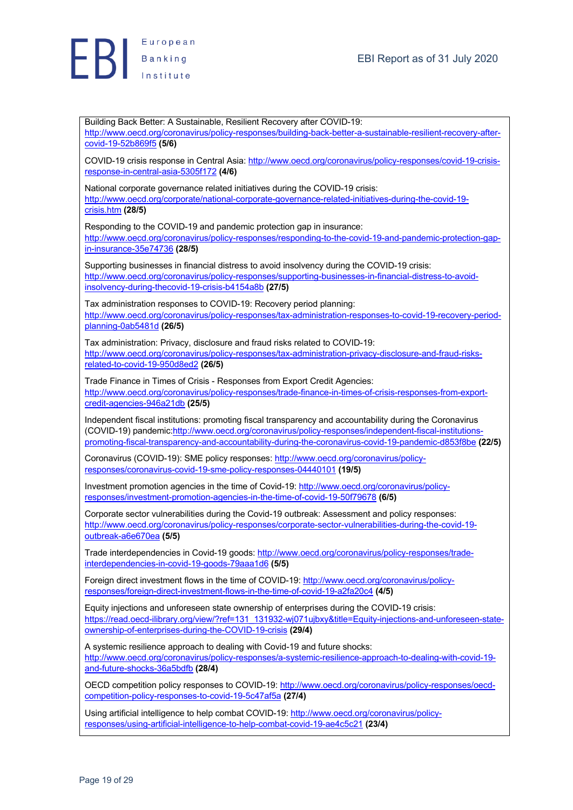

Building Back Better: A Sustainable, Resilient Recovery after COVID-19: http://www.oecd.org/coronavirus/policy-responses/building-back-better-a-sustainable-resilient-recovery-aftercovid-19-52b869f5 **(5/6)** COVID-19 crisis response in Central Asia: http://www.oecd.org/coronavirus/policy-responses/covid-19-crisisresponse-in-central-asia-5305f172 **(4/6)** National corporate governance related initiatives during the COVID-19 crisis: http://www.oecd.org/corporate/national-corporate-governance-related-initiatives-during-the-covid-19 crisis.htm **(28/5)** Responding to the COVID-19 and pandemic protection gap in insurance: http://www.oecd.org/coronavirus/policy-responses/responding-to-the-covid-19-and-pandemic-protection-gapin-insurance-35e74736 **(28/5)** Supporting businesses in financial distress to avoid insolvency during the COVID-19 crisis: http://www.oecd.org/coronavirus/policy-responses/supporting-businesses-in-financial-distress-to-avoidinsolvency-during-thecovid-19-crisis-b4154a8b **(27/5)** Tax administration responses to COVID-19: Recovery period planning: http://www.oecd.org/coronavirus/policy-responses/tax-administration-responses-to-covid-19-recovery-periodplanning-0ab5481d **(26/5)** Tax administration: Privacy, disclosure and fraud risks related to COVID-19: http://www.oecd.org/coronavirus/policy-responses/tax-administration-privacy-disclosure-and-fraud-risksrelated-to-covid-19-950d8ed2 **(26/5)** Trade Finance in Times of Crisis - Responses from Export Credit Agencies: http://www.oecd.org/coronavirus/policy-responses/trade-finance-in-times-of-crisis-responses-from-exportcredit-agencies-946a21db **(25/5)** Independent fiscal institutions: promoting fiscal transparency and accountability during the Coronavirus (COVID-19) pandemic:http://www.oecd.org/coronavirus/policy-responses/independent-fiscal-institutionspromoting-fiscal-transparency-and-accountability-during-the-coronavirus-covid-19-pandemic-d853f8be **(22/5)** Coronavirus (COVID-19): SME policy responses: http://www.oecd.org/coronavirus/policyresponses/coronavirus-covid-19-sme-policy-responses-04440101 **(19/5)** Investment promotion agencies in the time of Covid-19: http://www.oecd.org/coronavirus/policyresponses/investment-promotion-agencies-in-the-time-of-covid-19-50f79678 **(6/5)** Corporate sector vulnerabilities during the Covid-19 outbreak: Assessment and policy responses: http://www.oecd.org/coronavirus/policy-responses/corporate-sector-vulnerabilities-during-the-covid-19 outbreak-a6e670ea **(5/5)** Trade interdependencies in Covid-19 goods: http://www.oecd.org/coronavirus/policy-responses/tradeinterdependencies-in-covid-19-goods-79aaa1d6 **(5/5)** Foreign direct investment flows in the time of COVID-19: http://www.oecd.org/coronavirus/policyresponses/foreign-direct-investment-flows-in-the-time-of-covid-19-a2fa20c4 **(4/5)** Equity injections and unforeseen state ownership of enterprises during the COVID-19 crisis: https://read.oecd-ilibrary.org/view/?ref=131\_131932-wj071ujbxy&title=Equity-injections-and-unforeseen-stateownership-of-enterprises-during-the-COVID-19-crisis **(29/4)** A systemic resilience approach to dealing with Covid-19 and future shocks: http://www.oecd.org/coronavirus/policy-responses/a-systemic-resilience-approach-to-dealing-with-covid-19 and-future-shocks-36a5bdfb **(28/4)** OECD competition policy responses to COVID-19: http://www.oecd.org/coronavirus/policy-responses/oecdcompetition-policy-responses-to-covid-19-5c47af5a **(27/4)** Using artificial intelligence to help combat COVID-19: http://www.oecd.org/coronavirus/policyresponses/using-artificial-intelligence-to-help-combat-covid-19-ae4c5c21 **(23/4)**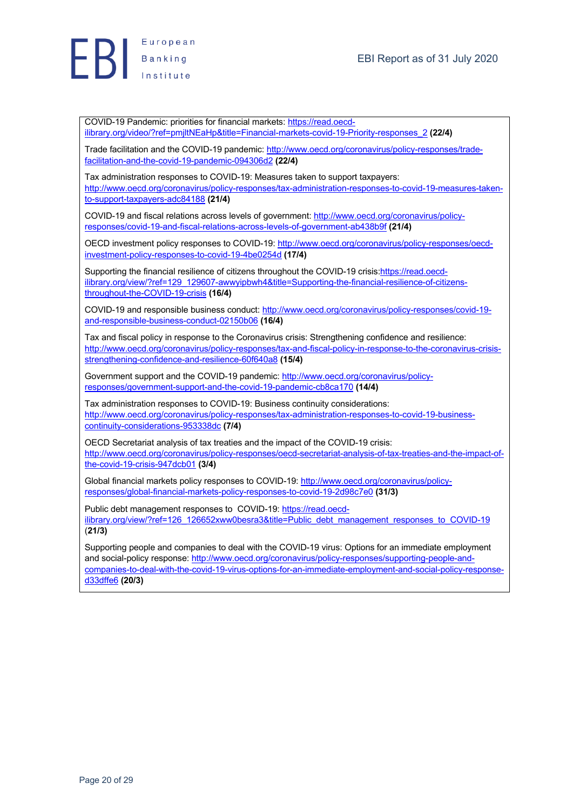

COVID-19 Pandemic: priorities for financial markets: https://read.oecdilibrary.org/video/?ref=pmjltNEaHp&title=Financial-markets-covid-19-Priority-responses\_2 **(22/4)**

Trade facilitation and the COVID-19 pandemic: http://www.oecd.org/coronavirus/policy-responses/tradefacilitation-and-the-covid-19-pandemic-094306d2 **(22/4)**

Tax administration responses to COVID-19: Measures taken to support taxpayers: http://www.oecd.org/coronavirus/policy-responses/tax-administration-responses-to-covid-19-measures-takento-support-taxpayers-adc84188 **(21/4)**

COVID-19 and fiscal relations across levels of government: http://www.oecd.org/coronavirus/policyresponses/covid-19-and-fiscal-relations-across-levels-of-government-ab438b9f **(21/4)**

OECD investment policy responses to COVID-19: http://www.oecd.org/coronavirus/policy-responses/oecdinvestment-policy-responses-to-covid-19-4be0254d **(17/4)**

Supporting the financial resilience of citizens throughout the COVID-19 crisis:https://read.oecdilibrary.org/view/?ref=129\_129607-awwyipbwh4&title=Supporting-the-financial-resilience-of-citizensthroughout-the-COVID-19-crisis **(16/4)**

COVID-19 and responsible business conduct: http://www.oecd.org/coronavirus/policy-responses/covid-19 and-responsible-business-conduct-02150b06 **(16/4)**

Tax and fiscal policy in response to the Coronavirus crisis: Strengthening confidence and resilience: http://www.oecd.org/coronavirus/policy-responses/tax-and-fiscal-policy-in-response-to-the-coronavirus-crisisstrengthening-confidence-and-resilience-60f640a8 **(15/4)**

Government support and the COVID-19 pandemic: http://www.oecd.org/coronavirus/policyresponses/government-support-and-the-covid-19-pandemic-cb8ca170 **(14/4)**

Tax administration responses to COVID-19: Business continuity considerations: http://www.oecd.org/coronavirus/policy-responses/tax-administration-responses-to-covid-19-businesscontinuity-considerations-953338dc **(7/4)**

OECD Secretariat analysis of tax treaties and the impact of the COVID-19 crisis: http://www.oecd.org/coronavirus/policy-responses/oecd-secretariat-analysis-of-tax-treaties-and-the-impact-ofthe-covid-19-crisis-947dcb01 **(3/4)**

Global financial markets policy responses to COVID-19: http://www.oecd.org/coronavirus/policyresponses/global-financial-markets-policy-responses-to-covid-19-2d98c7e0 **(31/3)**

Public debt management responses to COVID-19: https://read.oecdilibrary.org/view/?ref=126\_126652xww0besra3&title=Public\_debt\_management\_responses\_to\_COVID-19 (**21/3)**

Supporting people and companies to deal with the COVID-19 virus: Options for an immediate employment and social-policy response: http://www.oecd.org/coronavirus/policy-responses/supporting-people-andcompanies-to-deal-with-the-covid-19-virus-options-for-an-immediate-employment-and-social-policy-responsed33dffe6 **(20/3)**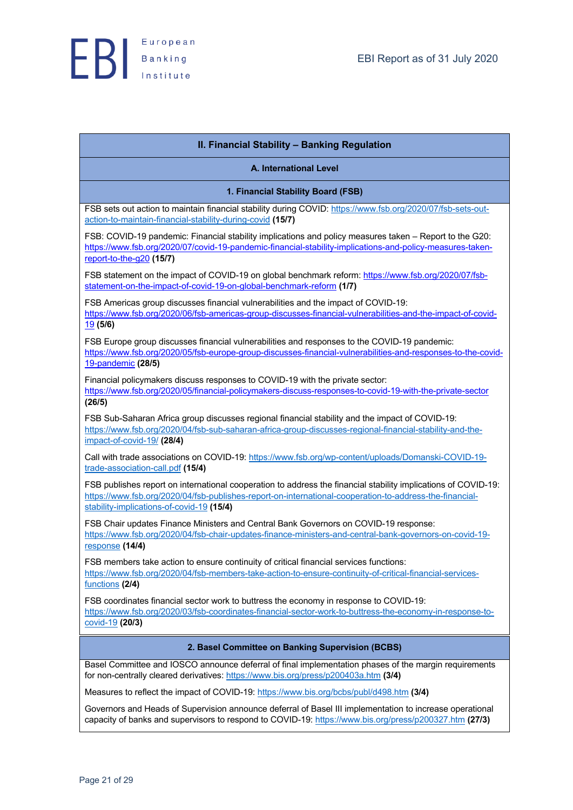| II. Financial Stability - Banking Regulation                                                                                                                                                                                                                           |
|------------------------------------------------------------------------------------------------------------------------------------------------------------------------------------------------------------------------------------------------------------------------|
| A. International Level                                                                                                                                                                                                                                                 |
| 1. Financial Stability Board (FSB)                                                                                                                                                                                                                                     |
| FSB sets out action to maintain financial stability during COVID: https://www.fsb.org/2020/07/fsb-sets-out-<br>action-to-maintain-financial-stability-during-covid (15/7)                                                                                              |
| FSB: COVID-19 pandemic: Financial stability implications and policy measures taken - Report to the G20:<br>https://www.fsb.org/2020/07/covid-19-pandemic-financial-stability-implications-and-policy-measures-taken-<br>report-to-the-g20 (15/7)                       |
| FSB statement on the impact of COVID-19 on global benchmark reform: https://www.fsb.org/2020/07/fsb-<br>statement-on-the-impact-of-covid-19-on-global-benchmark-reform (1/7)                                                                                           |
| FSB Americas group discusses financial vulnerabilities and the impact of COVID-19:<br>https://www.fsb.org/2020/06/fsb-americas-group-discusses-financial-vulnerabilities-and-the-impact-of-covid-<br>19(5/6)                                                           |
| FSB Europe group discusses financial vulnerabilities and responses to the COVID-19 pandemic:<br>https://www.fsb.org/2020/05/fsb-europe-group-discusses-financial-vulnerabilities-and-responses-to-the-covid-<br>19-pandemic (28/5)                                     |
| Financial policymakers discuss responses to COVID-19 with the private sector:<br>https://www.fsb.org/2020/05/financial-policymakers-discuss-responses-to-covid-19-with-the-private-sector<br>(26/5)                                                                    |
| FSB Sub-Saharan Africa group discusses regional financial stability and the impact of COVID-19:<br>https://www.fsb.org/2020/04/fsb-sub-saharan-africa-group-discusses-regional-financial-stability-and-the-<br>impact-of-covid-19/ <sub>(28/4)</sub>                   |
| Call with trade associations on COVID-19: https://www.fsb.org/wp-content/uploads/Domanski-COVID-19-<br>trade-association-call.pdf (15/4)                                                                                                                               |
| FSB publishes report on international cooperation to address the financial stability implications of COVID-19:<br>https://www.fsb.org/2020/04/fsb-publishes-report-on-international-cooperation-to-address-the-financial-<br>stability-implications-of-covid-19 (15/4) |
| FSB Chair updates Finance Ministers and Central Bank Governors on COVID-19 response:<br>https://www.fsb.org/2020/04/fsb-chair-updates-finance-ministers-and-central-bank-governors-on-covid-19-<br>response (14/4)                                                     |
| FSB members take action to ensure continuity of critical financial services functions:<br>https://www.fsb.org/2020/04/fsb-members-take-action-to-ensure-continuity-of-critical-financial-services-<br>functions (2/4)                                                  |
| FSB coordinates financial sector work to buttress the economy in response to COVID-19:<br>https://www.fsb.org/2020/03/fsb-coordinates-financial-sector-work-to-buttress-the-economy-in-response-to-<br>$covid-19$ (20/3)                                               |
| 2. Basel Committee on Banking Supervision (BCBS)                                                                                                                                                                                                                       |
| Basel Committee and IOSCO announce deferral of final implementation phases of the margin requirements<br>for non-centrally cleared derivatives: https://www.bis.org/press/p200403a.htm (3/4)                                                                           |
| Measures to reflect the impact of COVID-19: https://www.bis.org/bcbs/publ/d498.htm (3/4)                                                                                                                                                                               |
| Governors and Heads of Supervision announce deferral of Basel III implementation to increase operational<br>capacity of banks and supervisors to respond to COVID-19: https://www.bis.org/press/p200327.htm (27/3)                                                     |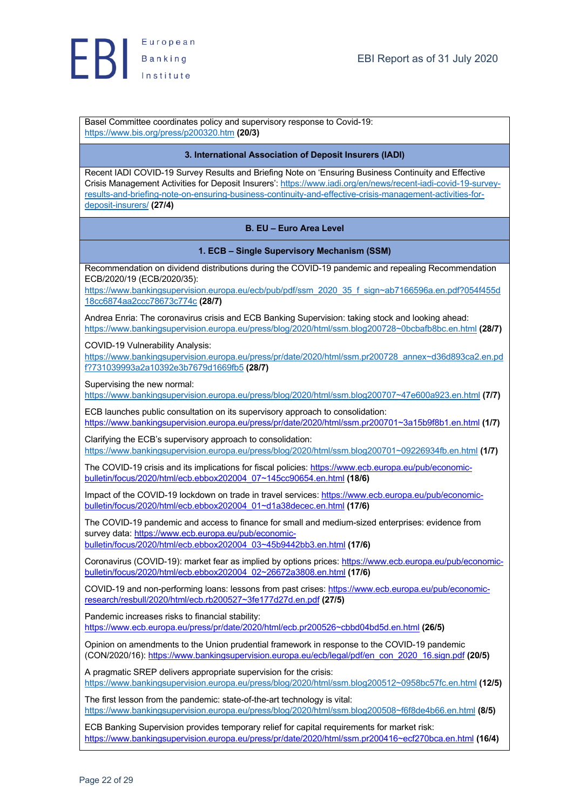Basel Committee coordinates policy and supervisory response to Covid-19: https://www.bis.org/press/p200320.htm **(20/3)**

#### **3. International Association of Deposit Insurers (IADI)**

Recent IADI COVID-19 Survey Results and Briefing Note on 'Ensuring Business Continuity and Effective Crisis Management Activities for Deposit Insurers': https://www.iadi.org/en/news/recent-iadi-covid-19-surveyresults-and-briefing-note-on-ensuring-business-continuity-and-effective-crisis-management-activities-fordeposit-insurers/ **(27/4)**

## **B. EU – Euro Area Level**

#### **1. ECB – Single Supervisory Mechanism (SSM)**

Recommendation on dividend distributions during the COVID-19 pandemic and repealing Recommendation ECB/2020/19 (ECB/2020/35):

https://www.bankingsupervision.europa.eu/ecb/pub/pdf/ssm\_2020\_35\_f\_sign~ab7166596a.en.pdf?054f455d 18cc6874aa2ccc78673c774c **(28/7)**

Andrea Enria: The coronavirus crisis and ECB Banking Supervision: taking stock and looking ahead: https://www.bankingsupervision.europa.eu/press/blog/2020/html/ssm.blog200728~0bcbafb8bc.en.html **(28/7)**

COVID-19 Vulnerability Analysis:

https://www.bankingsupervision.europa.eu/press/pr/date/2020/html/ssm.pr200728\_annex~d36d893ca2.en.pd f?731039993a2a10392e3b7679d1669fb5 **(28/7)**

Supervising the new normal:

https://www.bankingsupervision.europa.eu/press/blog/2020/html/ssm.blog200707~47e600a923.en.html **(7/7)**

ECB launches public consultation on its supervisory approach to consolidation: https://www.bankingsupervision.europa.eu/press/pr/date/2020/html/ssm.pr200701~3a15b9f8b1.en.html **(1/7)**

Clarifying the ECB's supervisory approach to consolidation: https://www.bankingsupervision.europa.eu/press/blog/2020/html/ssm.blog200701~09226934fb.en.html **(1/7)**

The COVID-19 crisis and its implications for fiscal policies: https://www.ecb.europa.eu/pub/economicbulletin/focus/2020/html/ecb.ebbox202004\_07~145cc90654.en.html **(18/6)**

Impact of the COVID-19 lockdown on trade in travel services: https://www.ecb.europa.eu/pub/economicbulletin/focus/2020/html/ecb.ebbox202004\_01~d1a38decec.en.html **(17/6)**

The COVID-19 pandemic and access to finance for small and medium-sized enterprises: evidence from survey data: https://www.ecb.europa.eu/pub/economicbulletin/focus/2020/html/ecb.ebbox202004\_03~45b9442bb3.en.html **(17/6)**

Coronavirus (COVID-19): market fear as implied by options prices: https://www.ecb.europa.eu/pub/economicbulletin/focus/2020/html/ecb.ebbox202004\_02~26672a3808.en.html **(17/6)**

COVID-19 and non-performing loans: lessons from past crises: https://www.ecb.europa.eu/pub/economicresearch/resbull/2020/html/ecb.rb200527~3fe177d27d.en.pdf **(27/5)**

Pandemic increases risks to financial stability: https://www.ecb.europa.eu/press/pr/date/2020/html/ecb.pr200526~cbbd04bd5d.en.html **(26/5)**

Opinion on amendments to the Union prudential framework in response to the COVID-19 pandemic (CON/2020/16): https://www.bankingsupervision.europa.eu/ecb/legal/pdf/en\_con\_2020\_16.sign.pdf **(20/5)**

A pragmatic SREP delivers appropriate supervision for the crisis: https://www.bankingsupervision.europa.eu/press/blog/2020/html/ssm.blog200512~0958bc57fc.en.html **(12/5)**

The first lesson from the pandemic: state-of-the-art technology is vital: https://www.bankingsupervision.europa.eu/press/blog/2020/html/ssm.blog200508~f6f8de4b66.en.html **(8/5)**

ECB Banking Supervision provides temporary relief for capital requirements for market risk: https://www.bankingsupervision.europa.eu/press/pr/date/2020/html/ssm.pr200416~ecf270bca.en.html **(16/4)**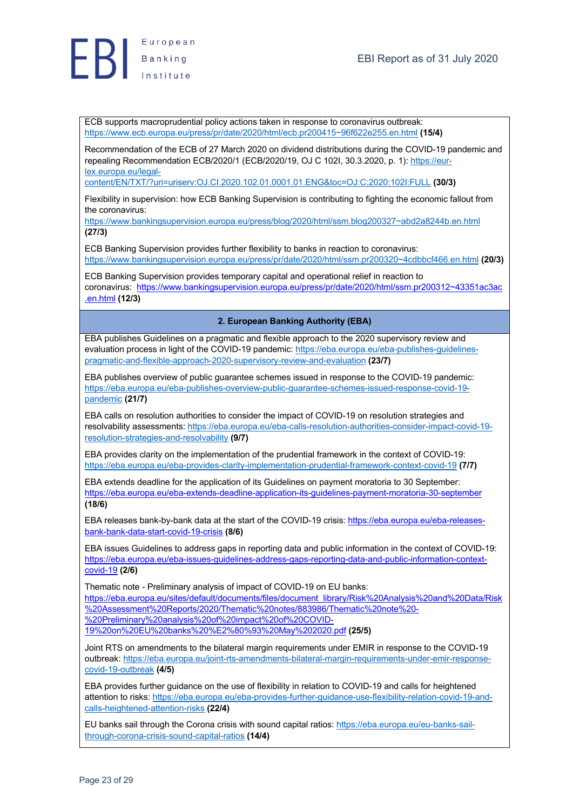ECB supports macroprudential policy actions taken in response to coronavirus outbreak: https://www.ecb.europa.eu/press/pr/date/2020/html/ecb.pr200415~96f622e255.en.html **(15/4)**

Recommendation of the ECB of 27 March 2020 on dividend distributions during the COVID-19 pandemic and repealing Recommendation ECB/2020/1 (ECB/2020/19, OJ C 102I, 30.3.2020, p. 1): https://eurlex.europa.eu/legal-

content/EN/TXT/?uri=uriserv:OJ.CI.2020.102.01.0001.01.ENG&toc=OJ:C:2020:102I:FULL **(30/3)**

Flexibility in supervision: how ECB Banking Supervision is contributing to fighting the economic fallout from the coronavirus:

https://www.bankingsupervision.europa.eu/press/blog/2020/html/ssm.blog200327~abd2a8244b.en.html **(27/3)**

ECB Banking Supervision provides further flexibility to banks in reaction to coronavirus: https://www.bankingsupervision.europa.eu/press/pr/date/2020/html/ssm.pr200320~4cdbbcf466.en.html **(20/3)**

ECB Banking Supervision provides temporary capital and operational relief in reaction to coronavirus: https://www.bankingsupervision.europa.eu/press/pr/date/2020/html/ssm.pr200312~43351ac3ac .en.html **(12/3)**

**2. European Banking Authority (EBA)**

EBA publishes Guidelines on a pragmatic and flexible approach to the 2020 supervisory review and evaluation process in light of the COVID-19 pandemic: https://eba.europa.eu/eba-publishes-guidelinespragmatic-and-flexible-approach-2020-supervisory-review-and-evaluation **(23/7)**

EBA publishes overview of public guarantee schemes issued in response to the COVID-19 pandemic: https://eba.europa.eu/eba-publishes-overview-public-guarantee-schemes-issued-response-covid-19 pandemic **(21/7)**

EBA calls on resolution authorities to consider the impact of COVID-19 on resolution strategies and resolvability assessments: https://eba.europa.eu/eba-calls-resolution-authorities-consider-impact-covid-19 resolution-strategies-and-resolvability **(9/7)**

EBA provides clarity on the implementation of the prudential framework in the context of COVID-19: https://eba.europa.eu/eba-provides-clarity-implementation-prudential-framework-context-covid-19 **(7/7)**

EBA extends deadline for the application of its Guidelines on payment moratoria to 30 September: https://eba.europa.eu/eba-extends-deadline-application-its-guidelines-payment-moratoria-30-september **(18/6)**

EBA releases bank-by-bank data at the start of the COVID-19 crisis: https://eba.europa.eu/eba-releasesbank-bank-data-start-covid-19-crisis **(8/6)**

EBA issues Guidelines to address gaps in reporting data and public information in the context of COVID-19: https://eba.europa.eu/eba-issues-guidelines-address-gaps-reporting-data-and-public-information-contextcovid-19 **(2/6)**

Thematic note - Preliminary analysis of impact of COVID-19 on EU banks: https://eba.europa.eu/sites/default/documents/files/document\_library/Risk%20Analysis%20and%20Data/Risk %20Assessment%20Reports/2020/Thematic%20notes/883986/Thematic%20note%20- %20Preliminary%20analysis%20of%20impact%20of%20COVID-19%20on%20EU%20banks%20%E2%80%93%20May%202020.pdf **(25/5)**

Joint RTS on amendments to the bilateral margin requirements under EMIR in response to the COVID-19 outbreak: https://eba.europa.eu/joint-rts-amendments-bilateral-margin-requirements-under-emir-responsecovid-19-outbreak **(4/5)**

EBA provides further guidance on the use of flexibility in relation to COVID-19 and calls for heightened attention to risks: https://eba.europa.eu/eba-provides-further-guidance-use-flexibility-relation-covid-19-andcalls-heightened-attention-risks **(22/4)**

EU banks sail through the Corona crisis with sound capital ratios: https://eba.europa.eu/eu-banks-sailthrough-corona-crisis-sound-capital-ratios **(14/4)**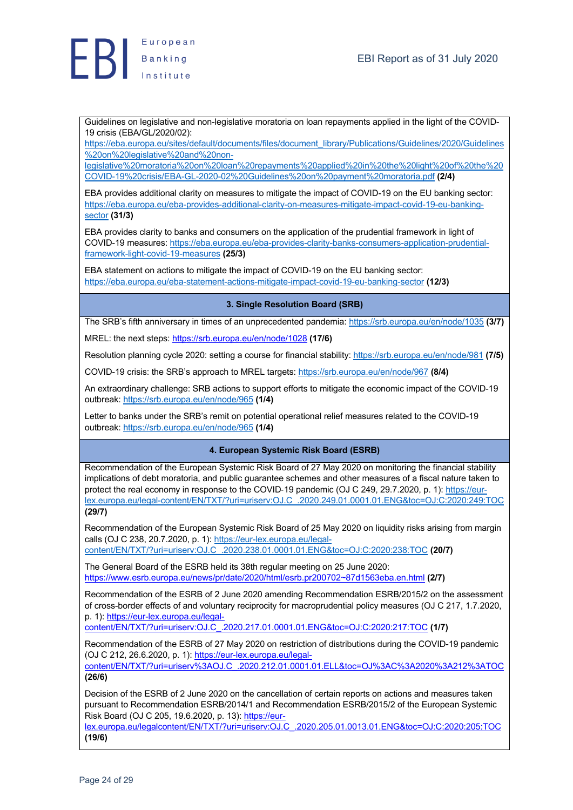

Guidelines on legislative and non-legislative moratoria on loan repayments applied in the light of the COVID-19 crisis (EBA/GL/2020/02):

https://eba.europa.eu/sites/default/documents/files/document\_library/Publications/Guidelines/2020/Guidelines %20on%20legislative%20and%20non-

legislative%20moratoria%20on%20loan%20repayments%20applied%20in%20the%20light%20of%20the%20 COVID-19%20crisis/EBA-GL-2020-02%20Guidelines%20on%20payment%20moratoria.pdf **(2/4)**

EBA provides additional clarity on measures to mitigate the impact of COVID-19 on the EU banking sector: https://eba.europa.eu/eba-provides-additional-clarity-on-measures-mitigate-impact-covid-19-eu-bankingsector **(31/3)**

EBA provides clarity to banks and consumers on the application of the prudential framework in light of COVID-19 measures: https://eba.europa.eu/eba-provides-clarity-banks-consumers-application-prudentialframework-light-covid-19-measures **(25/3)**

EBA statement on actions to mitigate the impact of COVID-19 on the EU banking sector: https://eba.europa.eu/eba-statement-actions-mitigate-impact-covid-19-eu-banking-sector **(12/3)**

## **3. Single Resolution Board (SRB)**

The SRB's fifth anniversary in times of an unprecedented pandemia: https://srb.europa.eu/en/node/1035 **(3/7)**

MREL: the next steps: https://srb.europa.eu/en/node/1028 **(17/6)**

Resolution planning cycle 2020: setting a course for financial stability: https://srb.europa.eu/en/node/981 **(7/5)**

COVID-19 crisis: the SRB's approach to MREL targets: https://srb.europa.eu/en/node/967 **(8/4)**

An extraordinary challenge: SRB actions to support efforts to mitigate the economic impact of the COVID-19 outbreak: https://srb.europa.eu/en/node/965 **(1/4)**

Letter to banks under the SRB's remit on potential operational relief measures related to the COVID-19 outbreak: https://srb.europa.eu/en/node/965 **(1/4)**

## **4. European Systemic Risk Board (ESRB)**

Recommendation of the European Systemic Risk Board of 27 May 2020 on monitoring the financial stability implications of debt moratoria, and public guarantee schemes and other measures of a fiscal nature taken to protect the real economy in response to the COVID-19 pandemic (OJ C 249, 29.7.2020, p. 1): https://eurlex.europa.eu/legal-content/EN/TXT/?uri=uriserv:OJ.C\_.2020.249.01.0001.01.ENG&toc=OJ:C:2020:249:TOC **(29/7)**

Recommendation of the European Systemic Risk Board of 25 May 2020 on liquidity risks arising from margin calls (OJ C 238, 20.7.2020, p. 1): https://eur-lex.europa.eu/legalcontent/EN/TXT/?uri=uriserv:OJ.C\_.2020.238.01.0001.01.ENG&toc=OJ:C:2020:238:TOC **(20/7)**

The General Board of the ESRB held its 38th regular meeting on 25 June 2020: https://www.esrb.europa.eu/news/pr/date/2020/html/esrb.pr200702~87d1563eba.en.html **(2/7)**

Recommendation of the ESRB of 2 June 2020 amending Recommendation ESRB/2015/2 on the assessment of cross-border effects of and voluntary reciprocity for macroprudential policy measures (OJ C 217, 1.7.2020, p. 1): https://eur-lex.europa.eu/legal-

content/EN/TXT/?uri=uriserv:OJ.C\_.2020.217.01.0001.01.ENG&toc=OJ:C:2020:217:TOC **(1/7)**

Recommendation of the ESRB of 27 May 2020 on restriction of distributions during the COVID-19 pandemic (OJ C 212, 26.6.2020, p. 1): https://eur-lex.europa.eu/legal-

content/EN/TXT/?uri=uriserv%3AOJ.C\_.2020.212.01.0001.01.ELL&toc=OJ%3AC%3A2020%3A212%3ATOC **(26/6)**

Decision of the ESRB of 2 June 2020 on the cancellation of certain reports on actions and measures taken pursuant to Recommendation ESRB/2014/1 and Recommendation ESRB/2015/2 of the European Systemic Risk Board (OJ C 205, 19.6.2020, p. 13): https://eur-

lex.europa.eu/legalcontent/EN/TXT/?uri=uriserv:OJ.C\_.2020.205.01.0013.01.ENG&toc=OJ:C:2020:205:TOC **(19/6)**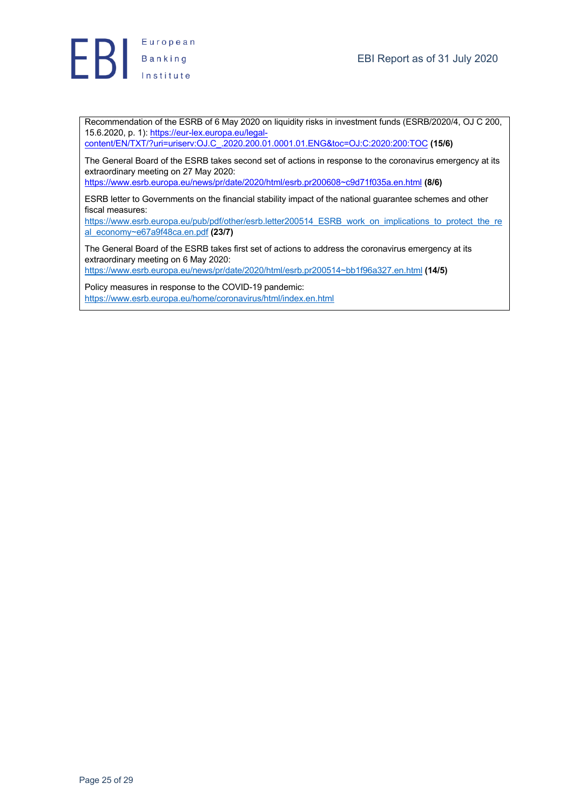

Recommendation of the ESRB of 6 May 2020 on liquidity risks in investment funds (ESRB/2020/4, OJ C 200, 15.6.2020, p. 1): https://eur-lex.europa.eu/legal-

content/EN/TXT/?uri=uriserv:OJ.C\_.2020.200.01.0001.01.ENG&toc=OJ:C:2020:200:TOC **(15/6)**

The General Board of the ESRB takes second set of actions in response to the coronavirus emergency at its extraordinary meeting on 27 May 2020:

https://www.esrb.europa.eu/news/pr/date/2020/html/esrb.pr200608~c9d71f035a.en.html **(8/6)**

ESRB letter to Governments on the financial stability impact of the national guarantee schemes and other fiscal measures:

https://www.esrb.europa.eu/pub/pdf/other/esrb.letter200514\_ESRB\_work\_on\_implications\_to\_protect\_the\_re al\_economy~e67a9f48ca.en.pdf **(23/7)**

The General Board of the ESRB takes first set of actions to address the coronavirus emergency at its extraordinary meeting on 6 May 2020:

https://www.esrb.europa.eu/news/pr/date/2020/html/esrb.pr200514~bb1f96a327.en.html **(14/5)**

Policy measures in response to the COVID-19 pandemic: https://www.esrb.europa.eu/home/coronavirus/html/index.en.html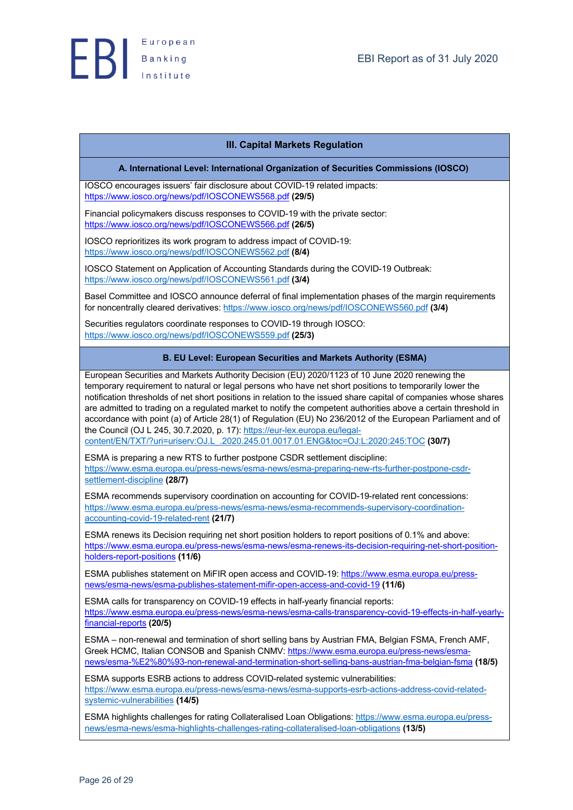## **III. Capital Markets Regulation**

#### **A. International Level: International Organization of Securities Commissions (IOSCO)**

IOSCO encourages issuers' fair disclosure about COVID-19 related impacts: https://www.iosco.org/news/pdf/IOSCONEWS568.pdf **(29/5)**

Financial policymakers discuss responses to COVID-19 with the private sector: https://www.iosco.org/news/pdf/IOSCONEWS566.pdf **(26/5)**

IOSCO reprioritizes its work program to address impact of COVID-19: https://www.iosco.org/news/pdf/IOSCONEWS562.pdf **(8/4)**

IOSCO Statement on Application of Accounting Standards during the COVID-19 Outbreak: https://www.iosco.org/news/pdf/IOSCONEWS561.pdf **(3/4)**

Basel Committee and IOSCO announce deferral of final implementation phases of the margin requirements for noncentrally cleared derivatives: https://www.iosco.org/news/pdf/IOSCONEWS560.pdf **(3/4)**

Securities regulators coordinate responses to COVID-19 through IOSCO: https://www.iosco.org/news/pdf/IOSCONEWS559.pdf **(25/3)**

#### **B. EU Level: European Securities and Markets Authority (ESMA)**

European Securities and Markets Authority Decision (EU) 2020/1123 of 10 June 2020 renewing the temporary requirement to natural or legal persons who have net short positions to temporarily lower the notification thresholds of net short positions in relation to the issued share capital of companies whose shares are admitted to trading on a regulated market to notify the competent authorities above a certain threshold in accordance with point (a) of Article 28(1) of Regulation (EU) No 236/2012 of the European Parliament and of the Council (OJ L 245, 30.7.2020, p. 17): https://eur-lex.europa.eu/legalcontent/EN/TXT/?uri=uriserv:OJ.L\_.2020.245.01.0017.01.ENG&toc=OJ:L:2020:245:TOC **(30/7)**

ESMA is preparing a new RTS to further postpone CSDR settlement discipline: https://www.esma.europa.eu/press-news/esma-news/esma-preparing-new-rts-further-postpone-csdrsettlement-discipline **(28/7)**

ESMA recommends supervisory coordination on accounting for COVID-19-related rent concessions: https://www.esma.europa.eu/press-news/esma-news/esma-recommends-supervisory-coordinationaccounting-covid-19-related-rent **(21/7)**

ESMA renews its Decision requiring net short position holders to report positions of 0.1% and above: https://www.esma.europa.eu/press-news/esma-news/esma-renews-its-decision-requiring-net-short-positionholders-report-positions **(11/6)**

ESMA publishes statement on MiFIR open access and COVID-19: https://www.esma.europa.eu/pressnews/esma-news/esma-publishes-statement-mifir-open-access-and-covid-19 **(11/6)**

ESMA calls for transparency on COVID-19 effects in half-yearly financial reports: https://www.esma.europa.eu/press-news/esma-news/esma-calls-transparency-covid-19-effects-in-half-yearlyfinancial-reports **(20/5)**

ESMA – non-renewal and termination of short selling bans by Austrian FMA, Belgian FSMA, French AMF, Greek HCMC, Italian CONSOB and Spanish CNMV: https://www.esma.europa.eu/press-news/esmanews/esma-%E2%80%93-non-renewal-and-termination-short-selling-bans-austrian-fma-belgian-fsma **(18/5)**

ESMA supports ESRB actions to address COVID-related systemic vulnerabilities: https://www.esma.europa.eu/press-news/esma-news/esma-supports-esrb-actions-address-covid-relatedsystemic-vulnerabilities **(14/5)**

ESMA highlights challenges for rating Collateralised Loan Obligations: https://www.esma.europa.eu/pressnews/esma-news/esma-highlights-challenges-rating-collateralised-loan-obligations **(13/5)**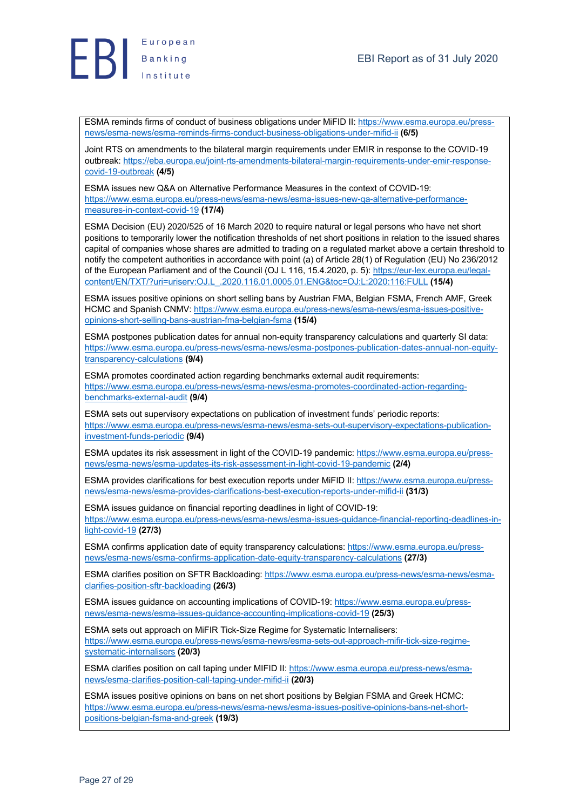

ESMA reminds firms of conduct of business obligations under MiFID II: https://www.esma.europa.eu/pressnews/esma-news/esma-reminds-firms-conduct-business-obligations-under-mifid-ii **(6/5)**

Joint RTS on amendments to the bilateral margin requirements under EMIR in response to the COVID-19 outbreak: https://eba.europa.eu/joint-rts-amendments-bilateral-margin-requirements-under-emir-responsecovid-19-outbreak **(4/5)**

ESMA issues new Q&A on Alternative Performance Measures in the context of COVID-19: https://www.esma.europa.eu/press-news/esma-news/esma-issues-new-qa-alternative-performancemeasures-in-context-covid-19 **(17/4)**

ESMA Decision (EU) 2020/525 of 16 March 2020 to require natural or legal persons who have net short positions to temporarily lower the notification thresholds of net short positions in relation to the issued shares capital of companies whose shares are admitted to trading on a regulated market above a certain threshold to notify the competent authorities in accordance with point (a) of Article 28(1) of Regulation (EU) No 236/2012 of the European Parliament and of the Council (OJ L 116, 15.4.2020, p. 5): https://eur-lex.europa.eu/legalcontent/EN/TXT/?uri=uriserv:OJ.L\_.2020.116.01.0005.01.ENG&toc=OJ:L:2020:116:FULL **(15/4)**

ESMA issues positive opinions on short selling bans by Austrian FMA, Belgian FSMA, French AMF, Greek HCMC and Spanish CNMV: https://www.esma.europa.eu/press-news/esma-news/esma-issues-positiveopinions-short-selling-bans-austrian-fma-belgian-fsma **(15/4)**

ESMA postpones publication dates for annual non-equity transparency calculations and quarterly SI data: https://www.esma.europa.eu/press-news/esma-news/esma-postpones-publication-dates-annual-non-equitytransparency-calculations **(9/4)**

ESMA promotes coordinated action regarding benchmarks external audit requirements: https://www.esma.europa.eu/press-news/esma-news/esma-promotes-coordinated-action-regardingbenchmarks-external-audit **(9/4)**

ESMA sets out supervisory expectations on publication of investment funds' periodic reports: https://www.esma.europa.eu/press-news/esma-news/esma-sets-out-supervisory-expectations-publicationinvestment-funds-periodic **(9/4)**

ESMA updates its risk assessment in light of the COVID-19 pandemic: https://www.esma.europa.eu/pressnews/esma-news/esma-updates-its-risk-assessment-in-light-covid-19-pandemic **(2/4)**

ESMA provides clarifications for best execution reports under MiFID II: https://www.esma.europa.eu/pressnews/esma-news/esma-provides-clarifications-best-execution-reports-under-mifid-ii **(31/3)**

ESMA issues guidance on financial reporting deadlines in light of COVID-19: https://www.esma.europa.eu/press-news/esma-news/esma-issues-guidance-financial-reporting-deadlines-inlight-covid-19 **(27/3)**

ESMA confirms application date of equity transparency calculations: https://www.esma.europa.eu/pressnews/esma-news/esma-confirms-application-date-equity-transparency-calculations **(27/3)**

ESMA clarifies position on SFTR Backloading: https://www.esma.europa.eu/press-news/esma-news/esmaclarifies-position-sftr-backloading **(26/3)**

ESMA issues guidance on accounting implications of COVID-19: https://www.esma.europa.eu/pressnews/esma-news/esma-issues-guidance-accounting-implications-covid-19 **(25/3)**

ESMA sets out approach on MiFIR Tick-Size Regime for Systematic Internalisers: https://www.esma.europa.eu/press-news/esma-news/esma-sets-out-approach-mifir-tick-size-regimesystematic-internalisers **(20/3)**

ESMA clarifies position on call taping under MIFID II: https://www.esma.europa.eu/press-news/esmanews/esma-clarifies-position-call-taping-under-mifid-ii **(20/3)**

ESMA issues positive opinions on bans on net short positions by Belgian FSMA and Greek HCMC: https://www.esma.europa.eu/press-news/esma-news/esma-issues-positive-opinions-bans-net-shortpositions-belgian-fsma-and-greek **(19/3)**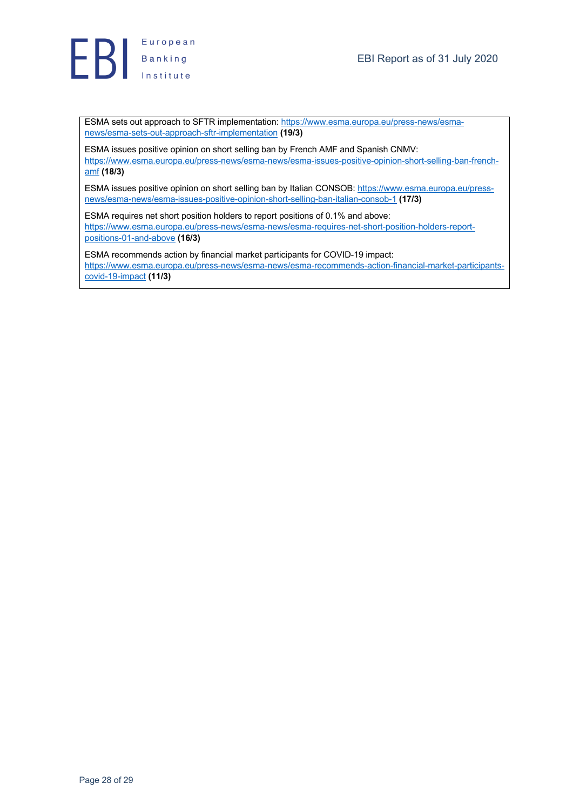

ESMA sets out approach to SFTR implementation: https://www.esma.europa.eu/press-news/esmanews/esma-sets-out-approach-sftr-implementation **(19/3)**

ESMA issues positive opinion on short selling ban by French AMF and Spanish CNMV: https://www.esma.europa.eu/press-news/esma-news/esma-issues-positive-opinion-short-selling-ban-frenchamf **(18/3)**

ESMA issues positive opinion on short selling ban by Italian CONSOB: https://www.esma.europa.eu/pressnews/esma-news/esma-issues-positive-opinion-short-selling-ban-italian-consob-1 **(17/3)**

ESMA requires net short position holders to report positions of 0.1% and above: https://www.esma.europa.eu/press-news/esma-news/esma-requires-net-short-position-holders-reportpositions-01-and-above **(16/3)**

ESMA recommends action by financial market participants for COVID-19 impact: https://www.esma.europa.eu/press-news/esma-news/esma-recommends-action-financial-market-participantscovid-19-impact **(11/3)**